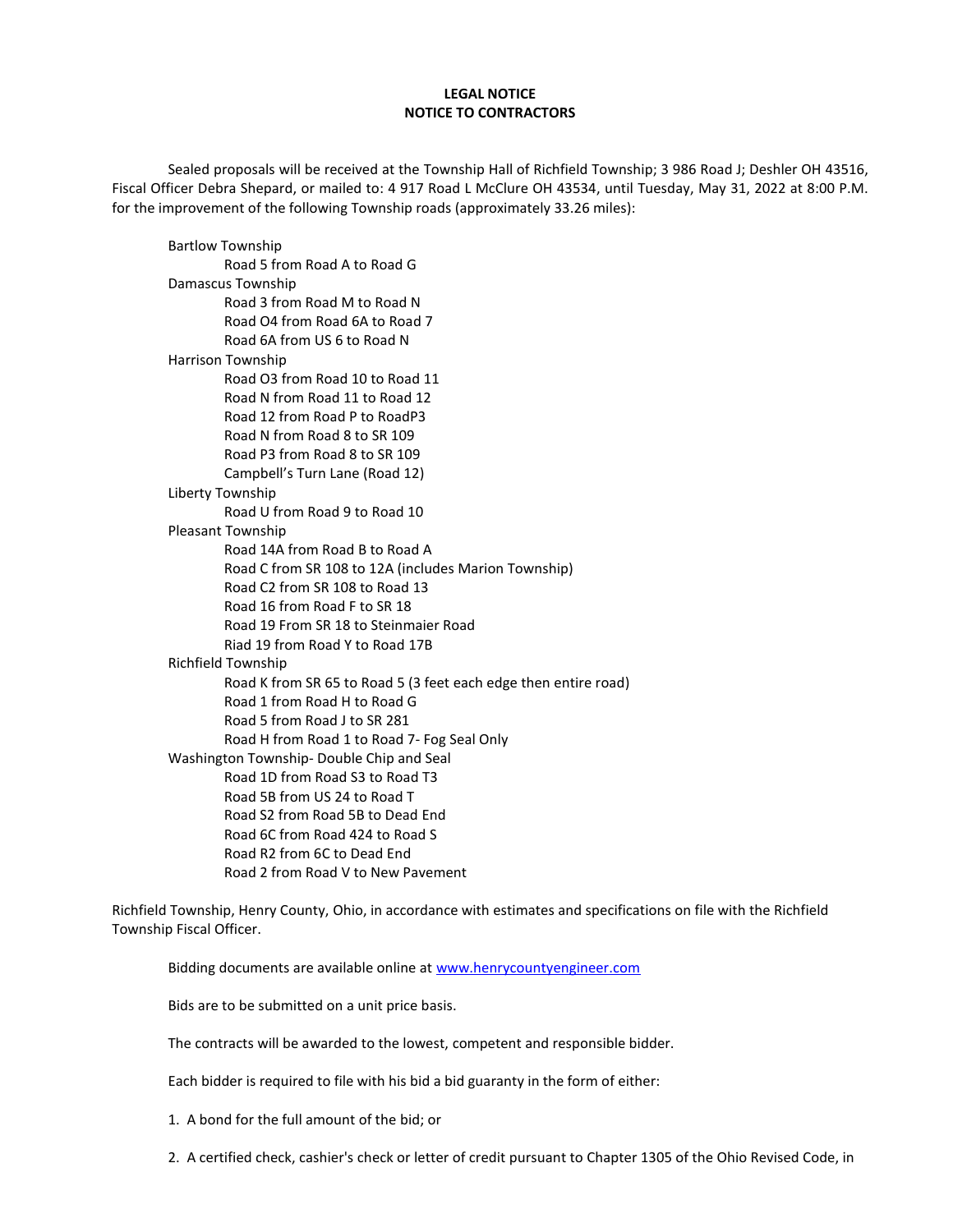#### **LEGAL NOTICE NOTICE TO CONTRACTORS**

Sealed proposals will be received at the Township Hall of Richfield Township; 3 986 Road J; Deshler OH 43516, Fiscal Officer Debra Shepard, or mailed to: 4 917 Road L McClure OH 43534, until Tuesday, May 31, 2022 at 8:00 P.M. for the improvement of the following Township roads (approximately 33.26 miles):

Bartlow Township Road 5 from Road A to Road G Damascus Township Road 3 from Road M to Road N Road O4 from Road 6A to Road 7 Road 6A from US 6 to Road N Harrison Township Road O3 from Road 10 to Road 11 Road N from Road 11 to Road 12 Road 12 from Road P to RoadP3 Road N from Road 8 to SR 109 Road P3 from Road 8 to SR 109 Campbell's Turn Lane (Road 12) Liberty Township Road U from Road 9 to Road 10 Pleasant Township Road 14A from Road B to Road A Road C from SR 108 to 12A (includes Marion Township) Road C2 from SR 108 to Road 13 Road 16 from Road F to SR 18 Road 19 From SR 18 to Steinmaier Road Riad 19 from Road Y to Road 17B Richfield Township Road K from SR 65 to Road 5 (3 feet each edge then entire road) Road 1 from Road H to Road G Road 5 from Road J to SR 281 Road H from Road 1 to Road 7- Fog Seal Only Washington Township- Double Chip and Seal Road 1D from Road S3 to Road T3 Road 5B from US 24 to Road T Road S2 from Road 5B to Dead End Road 6C from Road 424 to Road S Road R2 from 6C to Dead End Road 2 from Road V to New Pavement

Richfield Township, Henry County, Ohio, in accordance with estimates and specifications on file with the Richfield Township Fiscal Officer.

Bidding documents are available online at [www.henrycountyengineer.com](http://www.henrycountyengineer.com/)

Bids are to be submitted on a unit price basis.

The contracts will be awarded to the lowest, competent and responsible bidder.

Each bidder is required to file with his bid a bid guaranty in the form of either:

1. A bond for the full amount of the bid; or

2. A certified check, cashier's check or letter of credit pursuant to Chapter 1305 of the Ohio Revised Code, in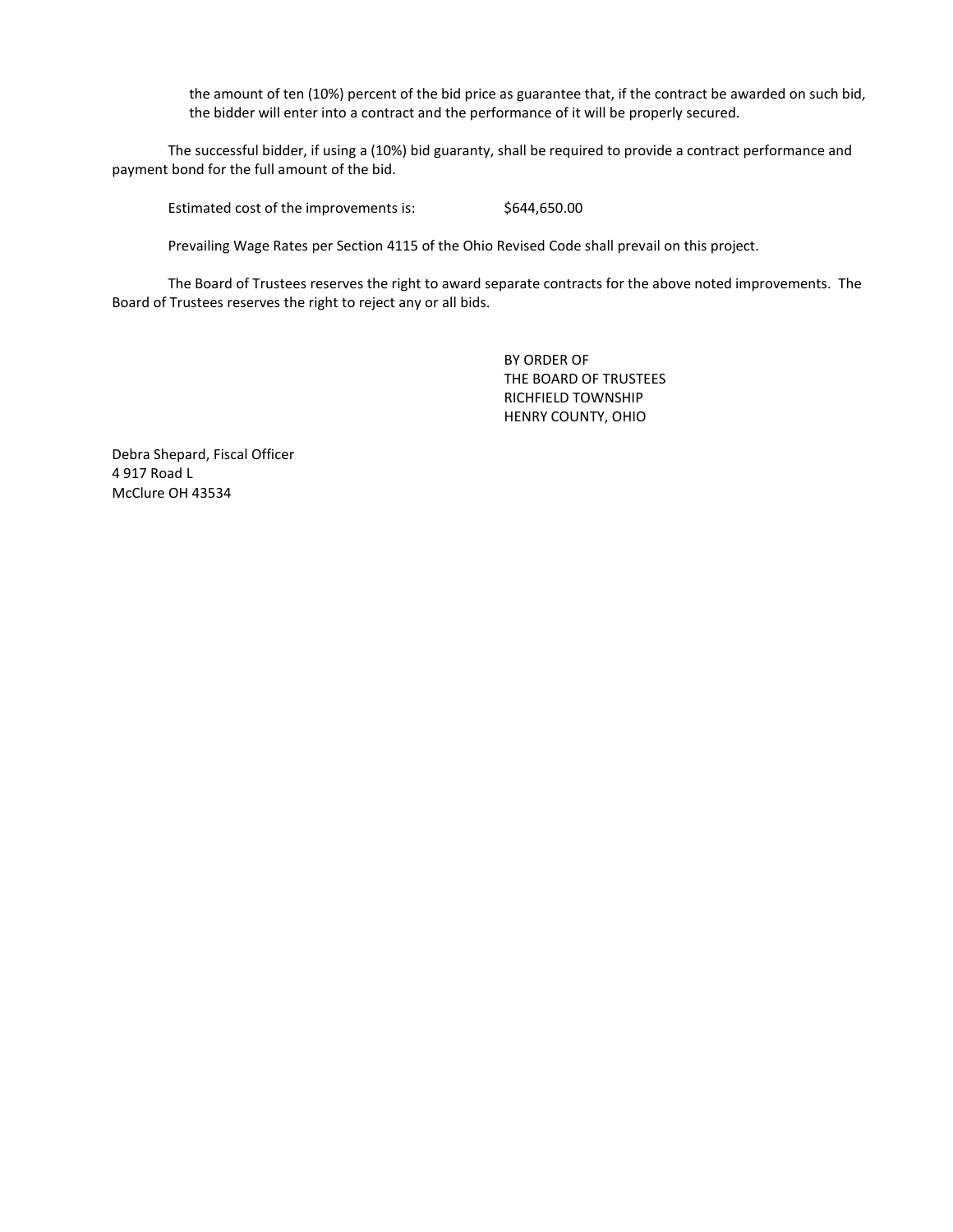the amount of ten (10%) percent of the bid price as guarantee that, if the contract be awarded on such bid, the bidder will enter into a contract and the performance of it will be properly secured.

The successful bidder, if using a (10%) bid guaranty, shall be required to provide a contract performance and payment bond for the full amount of the bid.

Estimated cost of the improvements is:  $$644,650.00$ 

Prevailing Wage Rates per Section 4115 of the Ohio Revised Code shall prevail on this project.

The Board of Trustees reserves the right to award separate contracts for the above noted improvements. The Board of Trustees reserves the right to reject any or all bids.

> BY ORDER OF THE BOARD OF TRUSTEES RICHFIELD TOWNSHIP HENRY COUNTY, OHIO

Debra Shepard, Fiscal Officer 4 917 Road L McClure OH 43534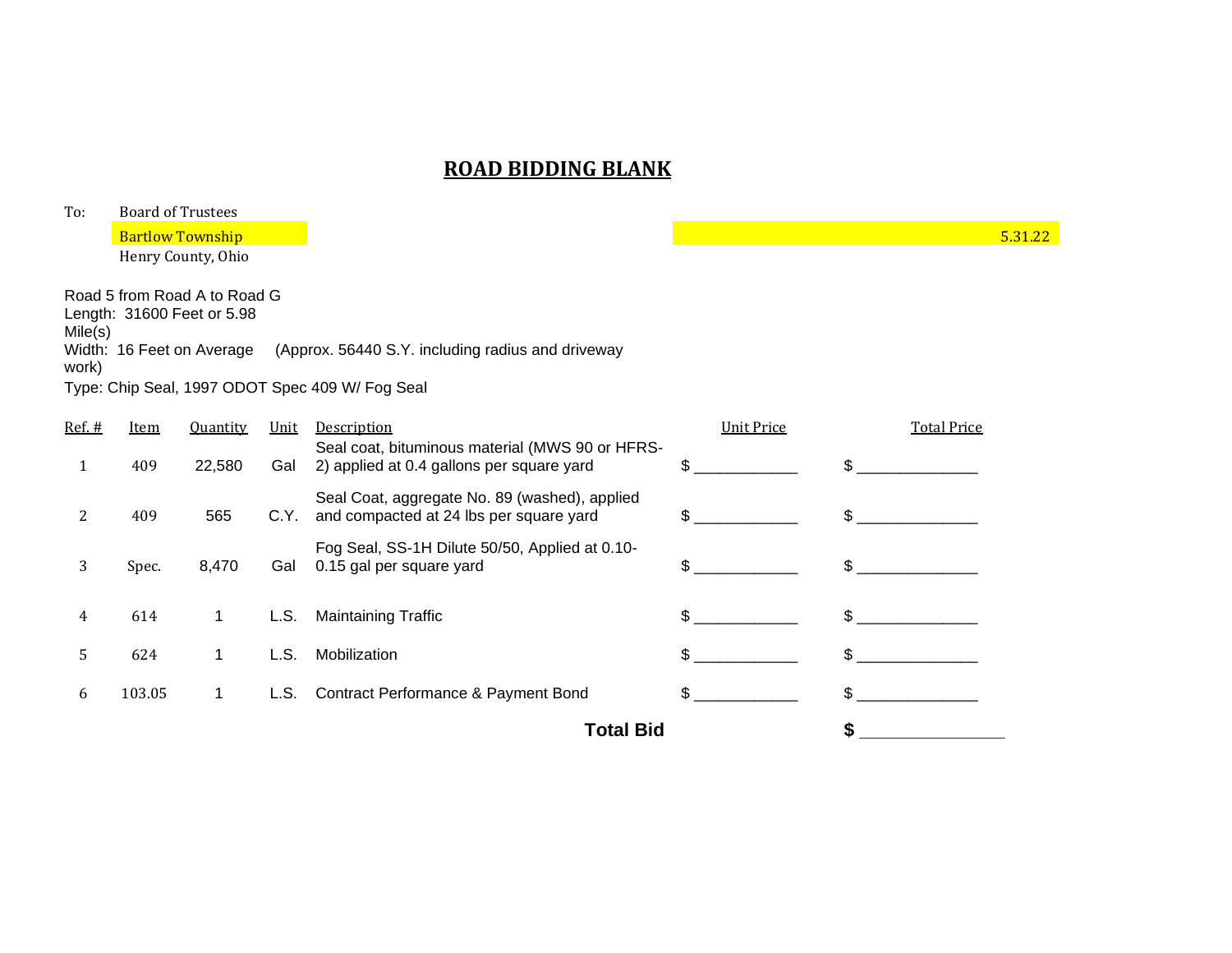| To:              | <b>Board of Trustees</b> |                                                                                         |      |                                                                                          |                   |                    |         |  |  |
|------------------|--------------------------|-----------------------------------------------------------------------------------------|------|------------------------------------------------------------------------------------------|-------------------|--------------------|---------|--|--|
|                  |                          | <b>Bartlow Township</b>                                                                 |      |                                                                                          |                   |                    | 5.31.22 |  |  |
|                  |                          | Henry County, Ohio                                                                      |      |                                                                                          |                   |                    |         |  |  |
| Mile(s)<br>work) |                          | Road 5 from Road A to Road G<br>Length: 31600 Feet or 5.98<br>Width: 16 Feet on Average |      | (Approx. 56440 S.Y. including radius and driveway                                        |                   |                    |         |  |  |
|                  |                          |                                                                                         |      | Type: Chip Seal, 1997 ODOT Spec 409 W/ Fog Seal                                          |                   |                    |         |  |  |
| Ref. #           | Item                     | <b>Quantity</b>                                                                         | Unit | Description<br>Seal coat, bituminous material (MWS 90 or HFRS-                           | <b>Unit Price</b> | <b>Total Price</b> |         |  |  |
| 1                | 409                      | 22,580                                                                                  | Gal  | 2) applied at 0.4 gallons per square yard                                                | \$                | $\mathfrak{L}$     |         |  |  |
| 2                | 409                      | 565                                                                                     | C.Y. | Seal Coat, aggregate No. 89 (washed), applied<br>and compacted at 24 lbs per square yard | \$                | \$.                |         |  |  |
| 3                | Spec.                    | 8,470                                                                                   | Gal  | Fog Seal, SS-1H Dilute 50/50, Applied at 0.10-<br>0.15 gal per square yard               | \$                | \$.                |         |  |  |
| 4                | 614                      | 1                                                                                       | L.S. | <b>Maintaining Traffic</b>                                                               | \$                | $\mathfrak{L}$     |         |  |  |
| 5                | 624                      | $\mathbf 1$                                                                             | L.S. | Mobilization                                                                             | \$                | \$.                |         |  |  |
| 6                | 103.05                   | 1                                                                                       | L.S. | Contract Performance & Payment Bond                                                      | \$                | \$                 |         |  |  |
|                  |                          |                                                                                         |      | <b>Total Bid</b>                                                                         |                   | \$                 |         |  |  |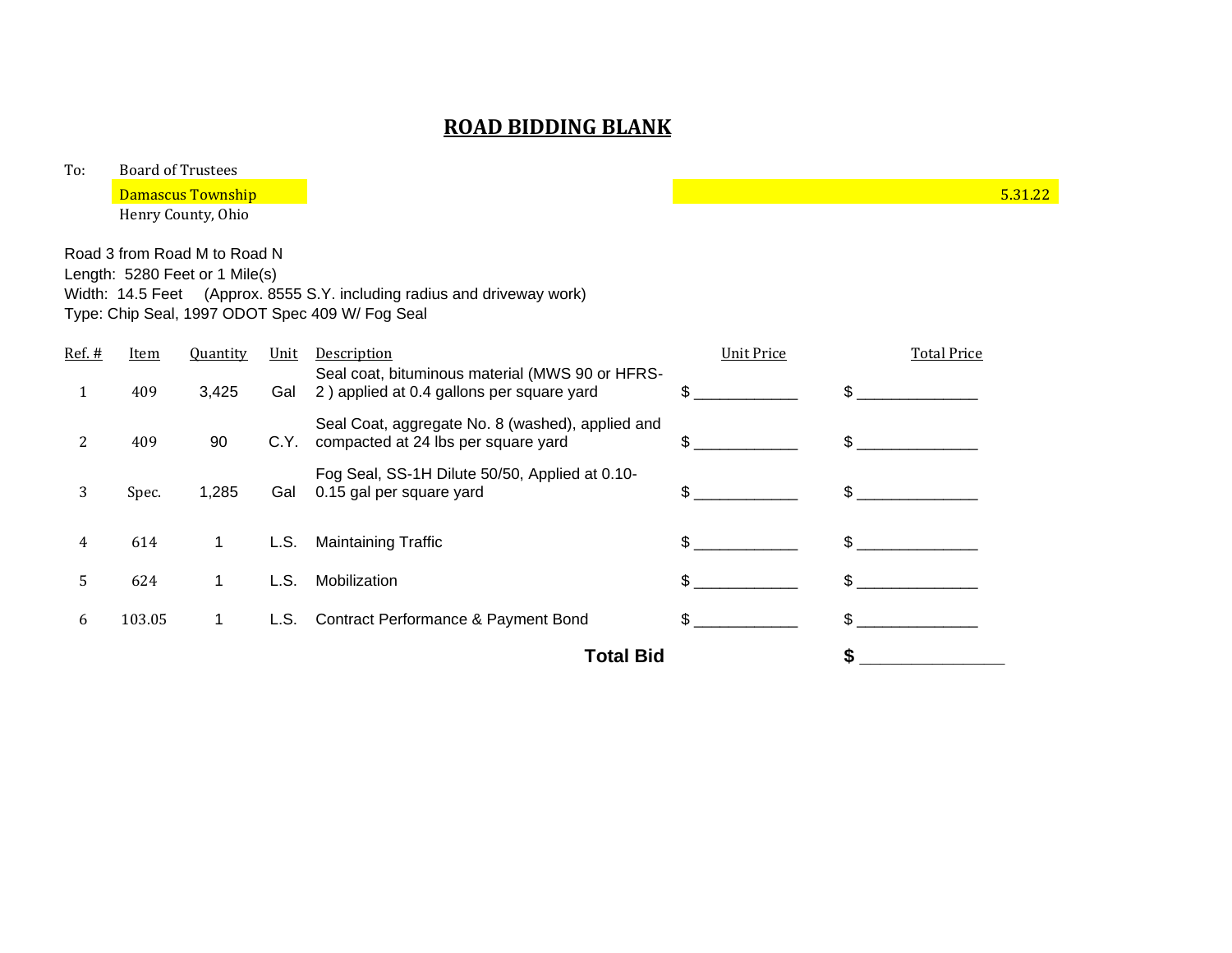| To:      | <b>Board of Trustees</b> |                                                                |      |                                                                                                                            |                   |                    |         |  |  |
|----------|--------------------------|----------------------------------------------------------------|------|----------------------------------------------------------------------------------------------------------------------------|-------------------|--------------------|---------|--|--|
|          |                          | <b>Damascus Township</b>                                       |      |                                                                                                                            |                   |                    | 5.31.22 |  |  |
|          |                          | Henry County, Ohio                                             |      |                                                                                                                            |                   |                    |         |  |  |
|          |                          | Road 3 from Road M to Road N<br>Length: 5280 Feet or 1 Mile(s) |      | Width: 14.5 Feet (Approx. 8555 S.Y. including radius and driveway work)<br>Type: Chip Seal, 1997 ODOT Spec 409 W/ Fog Seal |                   |                    |         |  |  |
| $Ref.$ # | Item                     | <b>Quantity</b>                                                | Unit | Description                                                                                                                | <b>Unit Price</b> | <b>Total Price</b> |         |  |  |
| 1        | 409                      | 3,425                                                          | Gal  | Seal coat, bituminous material (MWS 90 or HFRS-<br>2) applied at 0.4 gallons per square yard                               | \$                | $\mathbb{S}$       |         |  |  |
| 2        | 409                      | 90                                                             | C.Y. | Seal Coat, aggregate No. 8 (washed), applied and<br>compacted at 24 lbs per square yard                                    | \$                | $\mathbb{S}$       |         |  |  |
| 3        | Spec.                    | 1,285                                                          | Gal  | Fog Seal, SS-1H Dilute 50/50, Applied at 0.10-<br>0.15 gal per square yard                                                 | \$                | $\mathbb{S}$       |         |  |  |
| 4        | 614                      | 1                                                              | L.S. | <b>Maintaining Traffic</b>                                                                                                 | $\mathbb{S}$      | $\mathbb{S}$       |         |  |  |
| 5        | 624                      | 1                                                              | L.S. | Mobilization                                                                                                               | \$                | $\mathbb{S}$       |         |  |  |
| 6        | 103.05                   | 1                                                              | L.S. | Contract Performance & Payment Bond                                                                                        | \$.               | $\mathfrak{S}$     |         |  |  |
|          |                          |                                                                |      | <b>Total Bid</b>                                                                                                           |                   |                    |         |  |  |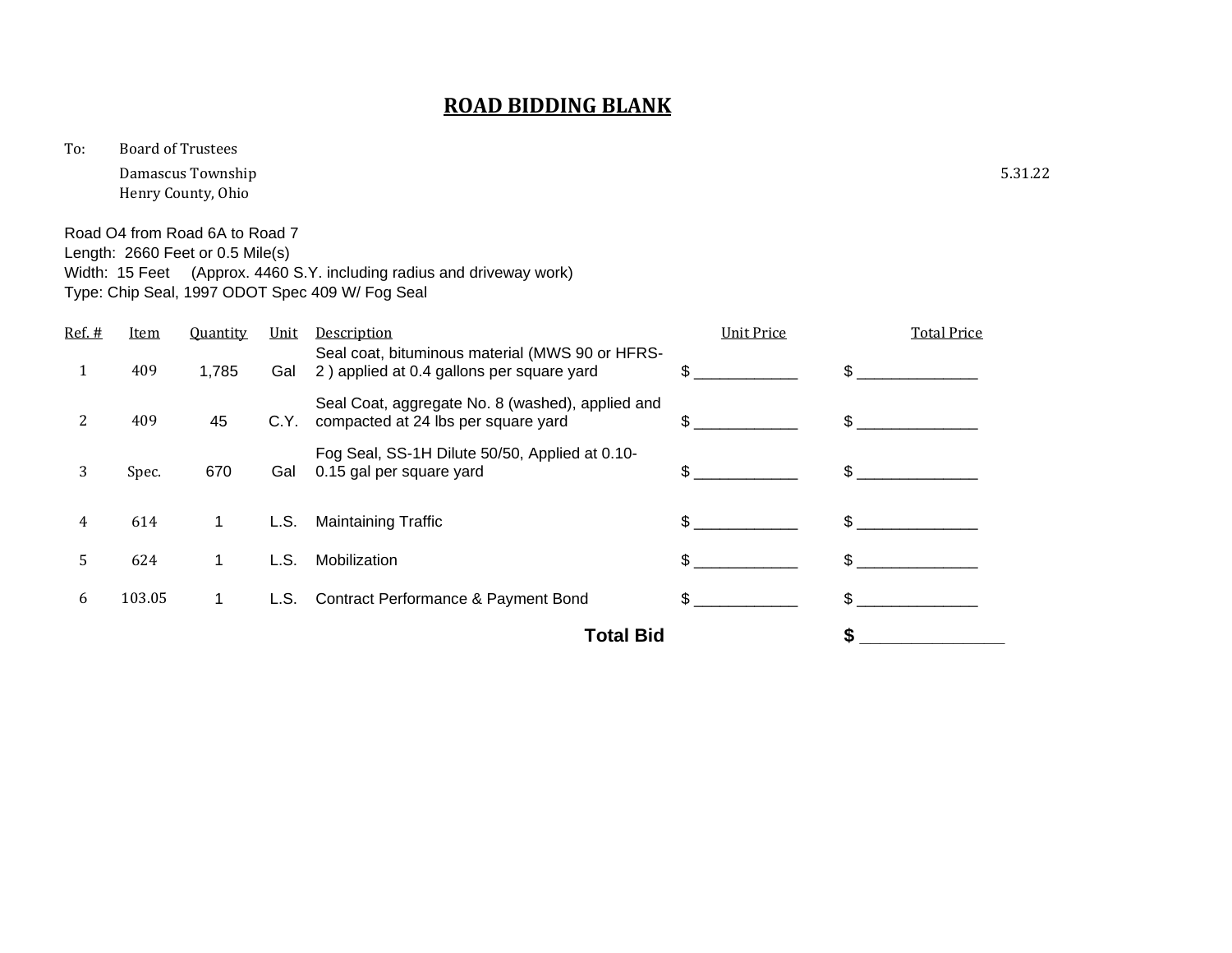To: Board of Trustees

Damascus Township 5.31.22 Henry County, Ohio

Road O4 from Road 6A to Road 7 Length: 2660 Feet or 0.5 Mile(s) Width: 15 Feet (Approx. 4460 S.Y. including radius and driveway work) Type: Chip Seal, 1997 ODOT Spec 409 W/ Fog Seal

|        | <b>Total Bid</b> |                 |      |                                                                                              |                   |                    |
|--------|------------------|-----------------|------|----------------------------------------------------------------------------------------------|-------------------|--------------------|
| 6      | 103.05           | 1.              | L.S. | <b>Contract Performance &amp; Payment Bond</b>                                               | \$.               | \$.                |
| 5      | 624              | 1               | L.S. | Mobilization                                                                                 | \$.               | \$.                |
| 4      | 614              | 1               | L.S. | <b>Maintaining Traffic</b>                                                                   |                   |                    |
| 3      | Spec.            | 670             | Gal  | Fog Seal, SS-1H Dilute 50/50, Applied at 0.10-<br>0.15 gal per square yard                   | \$.               | \$                 |
| 2      | 409              | 45              | C.Y. | Seal Coat, aggregate No. 8 (washed), applied and<br>compacted at 24 lbs per square yard      | \$.               | \$.                |
| 1      | 409              | 1,785           | Gal  | Seal coat, bituminous material (MWS 90 or HFRS-<br>2) applied at 0.4 gallons per square yard | \$.               | \$.                |
| Ref. # | <b>Item</b>      | <b>Quantity</b> | Unit | Description                                                                                  | <b>Unit Price</b> | <b>Total Price</b> |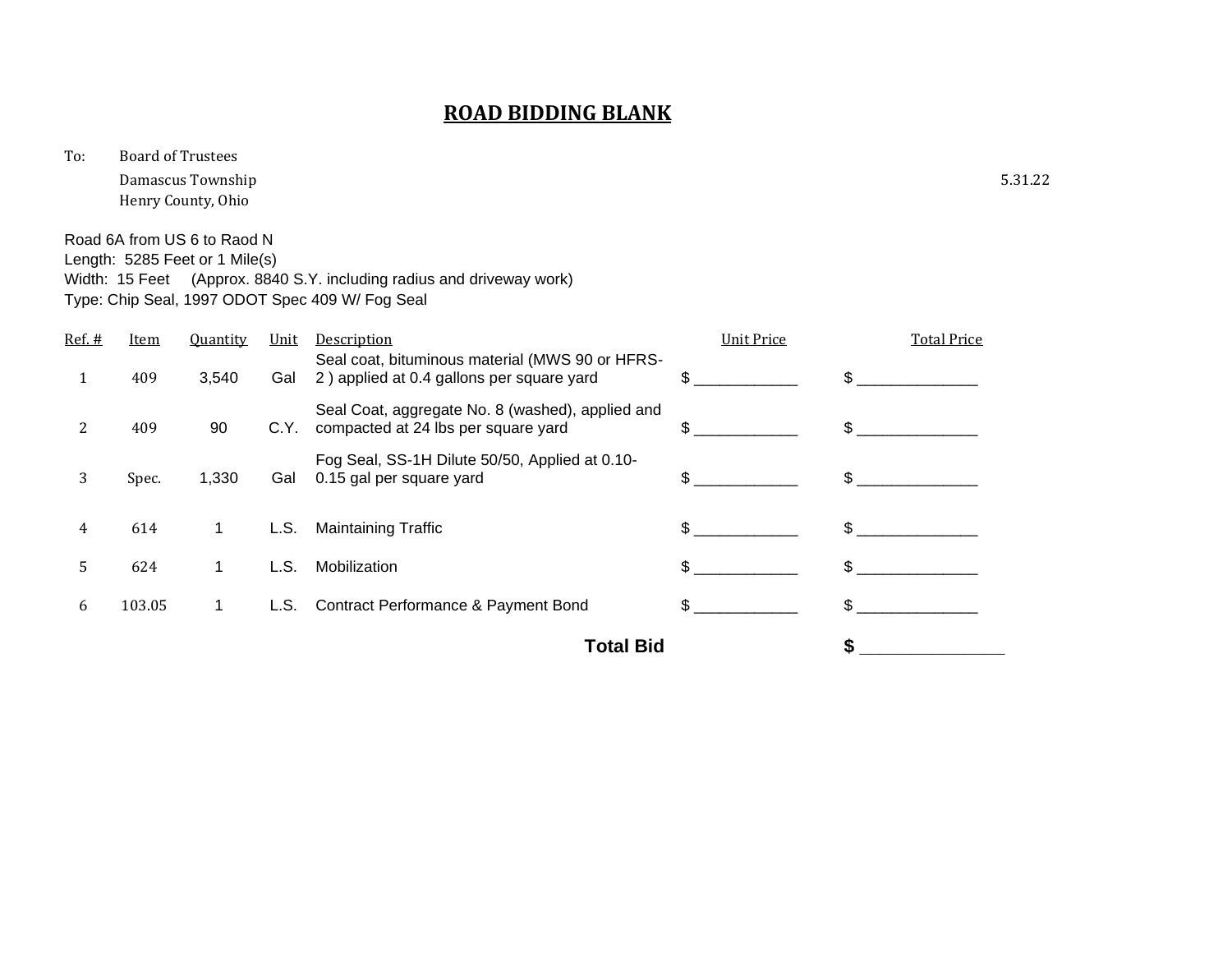To: Board of Trustees

Damascus Township 5.31.22 Henry County, Ohio

Road 6A from US 6 to Raod N Length: 5285 Feet or 1 Mile(s) Width: 15 Feet (Approx. 8840 S.Y. including radius and driveway work) Type: Chip Seal, 1997 ODOT Spec 409 W/ Fog Seal

| Ref. $#$ | Item             | Quantity | Unit | Description                                                                                  | <b>Unit Price</b> | <b>Total Price</b> |
|----------|------------------|----------|------|----------------------------------------------------------------------------------------------|-------------------|--------------------|
| 1        | 409              | 3,540    | Gal  | Seal coat, bituminous material (MWS 90 or HFRS-<br>2) applied at 0.4 gallons per square yard | \$.               | \$                 |
| 2        | 409              | 90       | C.Y. | Seal Coat, aggregate No. 8 (washed), applied and<br>compacted at 24 lbs per square yard      | \$.               | \$                 |
| 3        | Spec.            | 1,330    | Gal  | Fog Seal, SS-1H Dilute 50/50, Applied at 0.10-<br>0.15 gal per square yard                   | \$.               | \$                 |
| 4        | 614              | 1.       | L.S. | <b>Maintaining Traffic</b>                                                                   | \$.               |                    |
| 5        | 624              | 1        | L.S. | Mobilization                                                                                 | \$.               | \$.                |
| 6        | 103.05           | 1.       | L.S. | <b>Contract Performance &amp; Payment Bond</b>                                               | \$.               | \$.                |
|          | <b>Total Bid</b> |          |      |                                                                                              |                   |                    |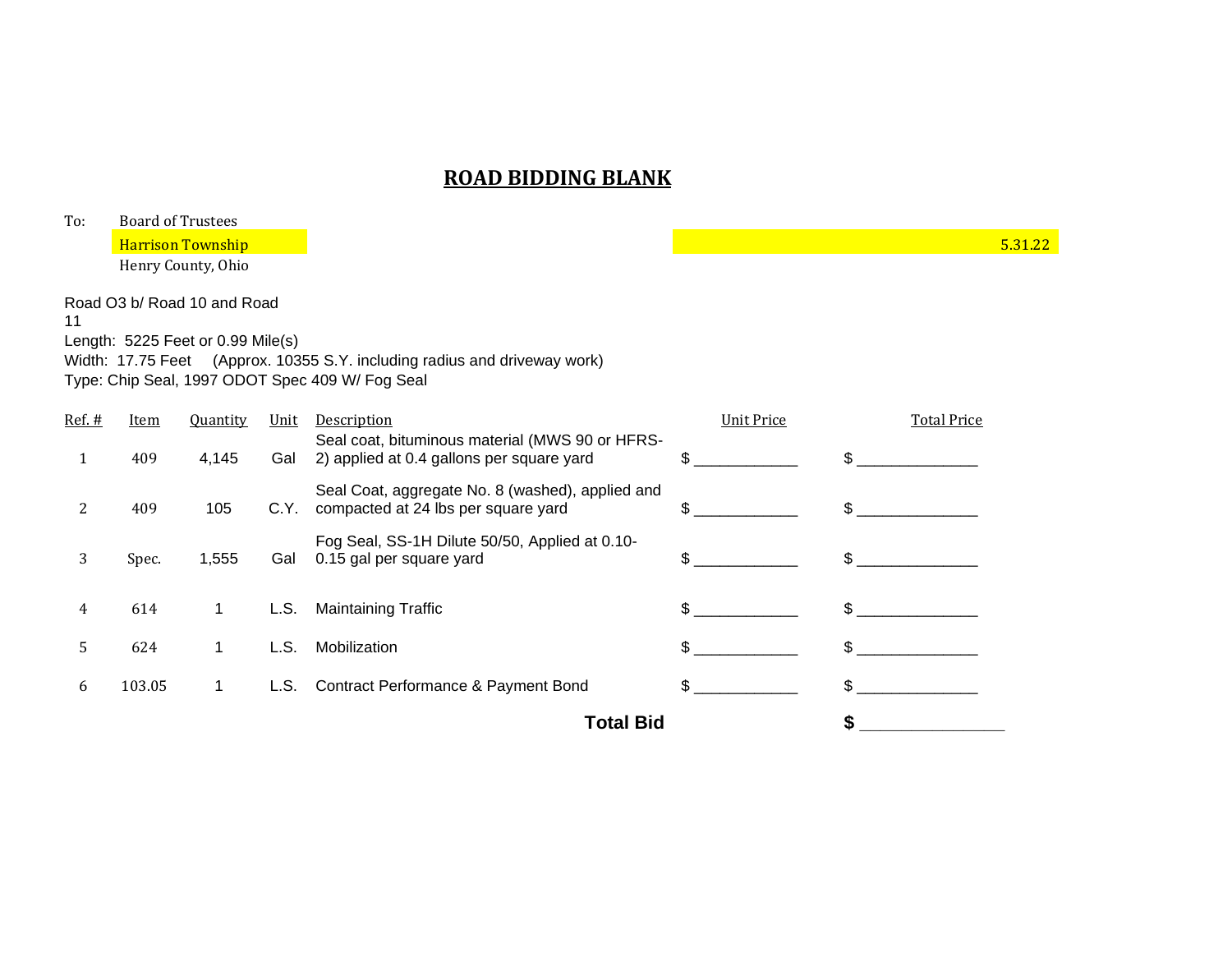| To:    |             | <b>Board of Trustees</b>          |      |                                                                                              |                   |                    |         |
|--------|-------------|-----------------------------------|------|----------------------------------------------------------------------------------------------|-------------------|--------------------|---------|
|        |             | <b>Harrison Township</b>          |      |                                                                                              |                   |                    | 5.31.22 |
|        |             | Henry County, Ohio                |      |                                                                                              |                   |                    |         |
| 11     |             | Road O3 b/ Road 10 and Road       |      |                                                                                              |                   |                    |         |
|        |             | Length: 5225 Feet or 0.99 Mile(s) |      |                                                                                              |                   |                    |         |
|        |             |                                   |      | Width: 17.75 Feet (Approx. 10355 S.Y. including radius and driveway work)                    |                   |                    |         |
|        |             |                                   |      | Type: Chip Seal, 1997 ODOT Spec 409 W/ Fog Seal                                              |                   |                    |         |
| Ref. # | <b>Item</b> | Quantity                          | Unit | Description                                                                                  | <b>Unit Price</b> | <b>Total Price</b> |         |
| 1      | 409         | 4,145                             | Gal  | Seal coat, bituminous material (MWS 90 or HFRS-<br>2) applied at 0.4 gallons per square yard | \$                | $\mathbb{S}$       |         |
| 2      | 409         | 105                               | C.Y. | Seal Coat, aggregate No. 8 (washed), applied and<br>compacted at 24 lbs per square yard      | \$.               | \$.                |         |
| 3      | Spec.       | 1,555                             | Gal  | Fog Seal, SS-1H Dilute 50/50, Applied at 0.10-<br>0.15 gal per square yard                   | \$.               |                    |         |
| 4      | 614         | 1                                 | L.S. | <b>Maintaining Traffic</b>                                                                   | \$.               | \$                 |         |
| 5      | 624         | 1                                 | L.S. | Mobilization                                                                                 | \$                | \$                 |         |
| 6      | 103.05      | $\mathbf{1}$                      | L.S. | Contract Performance & Payment Bond                                                          | \$                | \$                 |         |
|        |             |                                   |      | <b>Total Bid</b>                                                                             |                   | \$                 |         |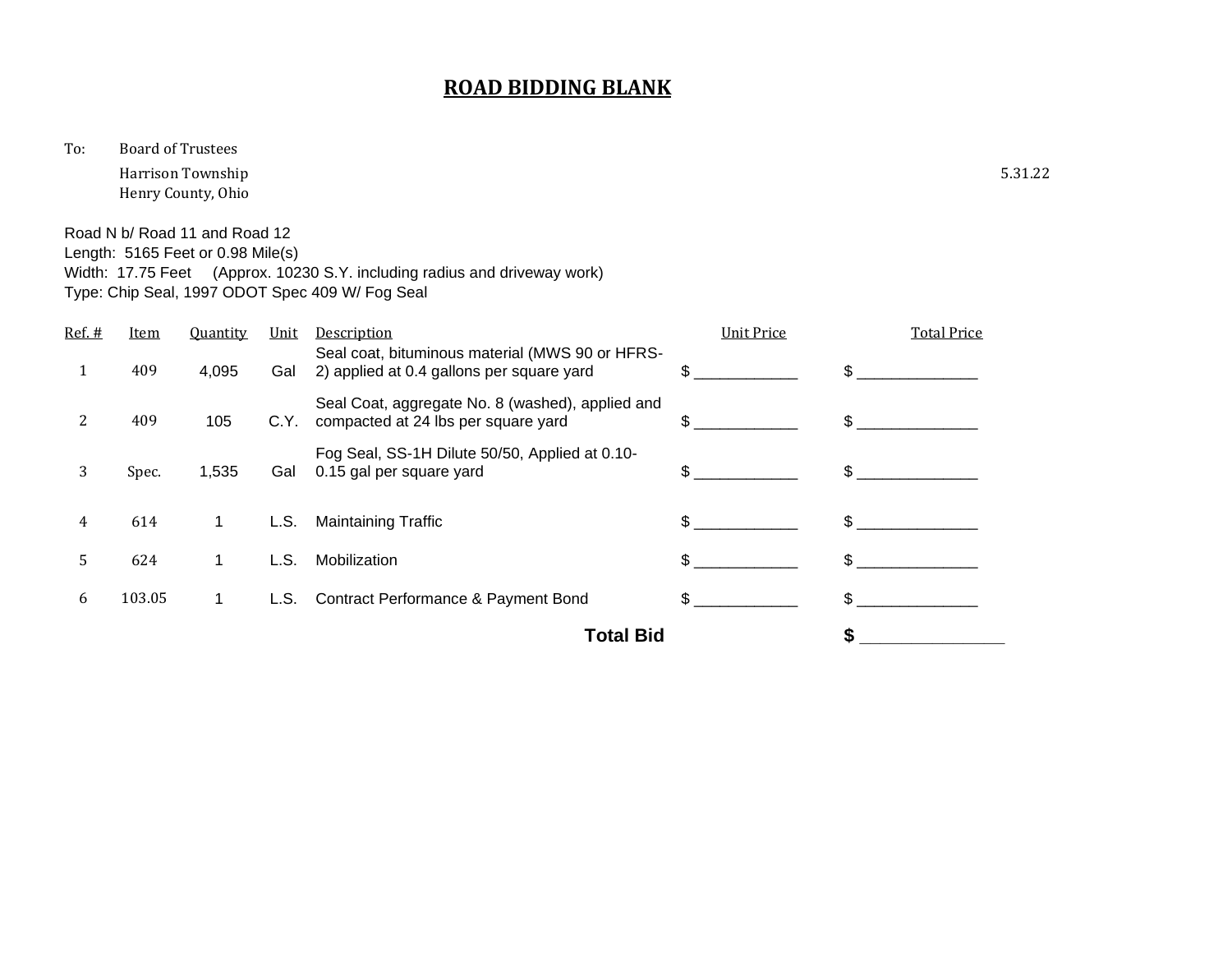To: Board of Trustees

Harrison Township 5.31.22 Henry County, Ohio

Road N b/ Road 11 and Road 12 Length: 5165 Feet or 0.98 Mile(s) Width: 17.75 Feet (Approx. 10230 S.Y. including radius and driveway work)

Type: Chip Seal, 1997 ODOT Spec 409 W/ Fog Seal

| Ref. # | <b>Item</b>      | <b>Quantity</b> | Unit | <b>Description</b>                                                                           | <b>Unit Price</b> | <b>Total Price</b> |
|--------|------------------|-----------------|------|----------------------------------------------------------------------------------------------|-------------------|--------------------|
|        | 409              | 4,095           | Gal  | Seal coat, bituminous material (MWS 90 or HFRS-<br>2) applied at 0.4 gallons per square yard | \$.               |                    |
| 2      | 409              | 105             | C.Y. | Seal Coat, aggregate No. 8 (washed), applied and<br>compacted at 24 lbs per square yard      | \$.               | \$.                |
| 3      | Spec.            | 1,535           | Gal  | Fog Seal, SS-1H Dilute 50/50, Applied at 0.10-<br>0.15 gal per square yard                   | \$.               |                    |
| 4      | 614              | 1               | L.S. | <b>Maintaining Traffic</b>                                                                   |                   |                    |
| 5      | 624              | 1               | L.S. | Mobilization                                                                                 | \$.               | \$.                |
| 6      | 103.05           | 1.              | L.S. | <b>Contract Performance &amp; Payment Bond</b>                                               | \$.               | \$.                |
|        | <b>Total Bid</b> |                 |      |                                                                                              |                   |                    |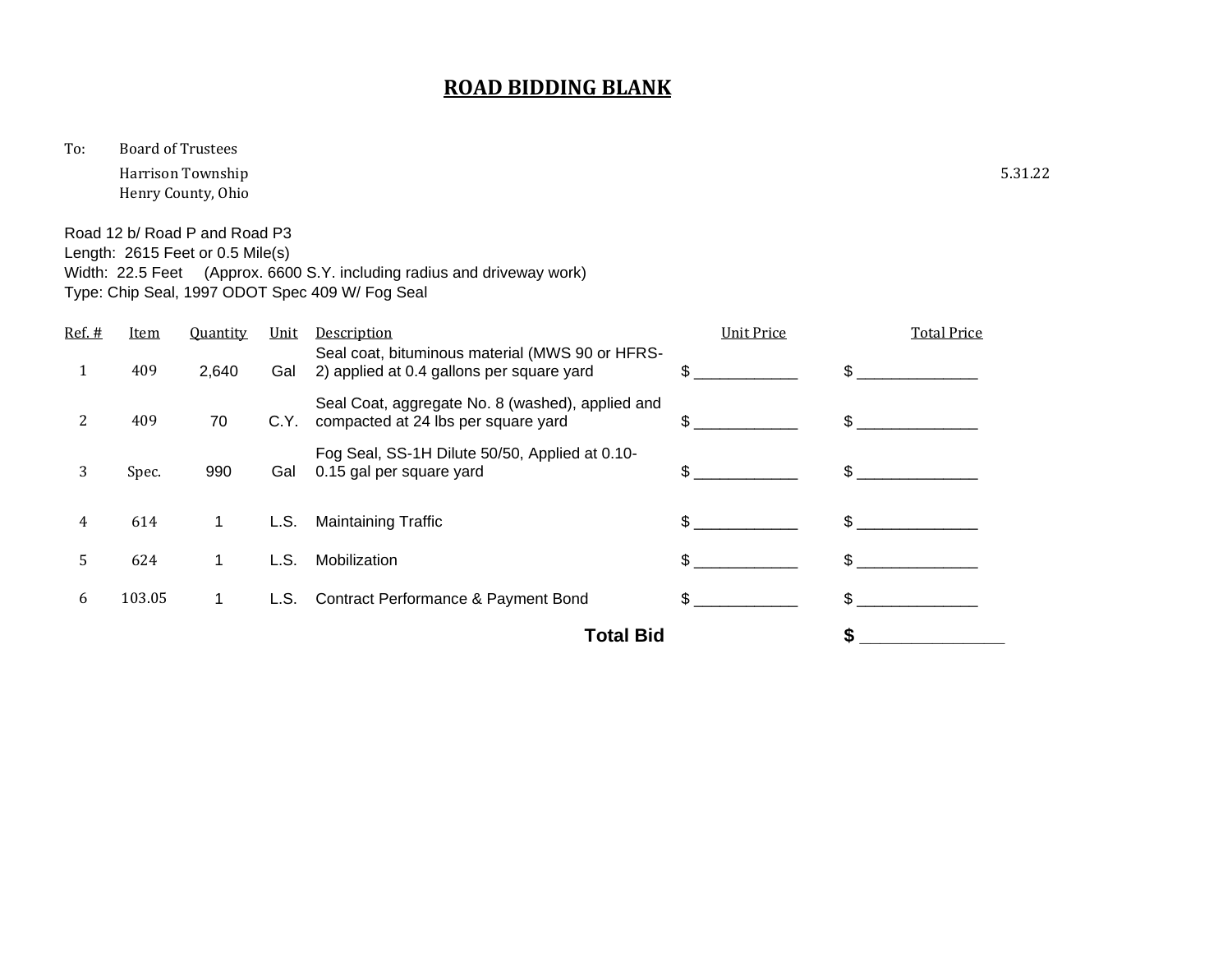To: Board of Trustees

Harrison Township 5.31.22 Henry County, Ohio

Road 12 b/ Road P and Road P3 Length: 2615 Feet or 0.5 Mile(s) Width: 22.5 Feet (Approx. 6600 S.Y. including radius and driveway work) Type: Chip Seal, 1997 ODOT Spec 409 W/ Fog Seal

| Ref. # | Item   | <b>Quantity</b> | Unit | <b>Description</b>                                                                           | <b>Unit Price</b> | <b>Total Price</b> |
|--------|--------|-----------------|------|----------------------------------------------------------------------------------------------|-------------------|--------------------|
|        | 409    | 2,640           | Gal  | Seal coat, bituminous material (MWS 90 or HFRS-<br>2) applied at 0.4 gallons per square yard | \$.               | \$.                |
| 2      | 409    | 70              | C.Y. | Seal Coat, aggregate No. 8 (washed), applied and<br>compacted at 24 lbs per square yard      | \$.               | \$.                |
| 3      | Spec.  | 990             | Gal  | Fog Seal, SS-1H Dilute 50/50, Applied at 0.10-<br>0.15 gal per square yard                   | \$.               |                    |
| 4      | 614    | 1.              | L.S. | <b>Maintaining Traffic</b>                                                                   |                   |                    |
| 5      | 624    | 1.              | L.S. | Mobilization                                                                                 | \$.               | \$                 |
| 6      | 103.05 | 1.              | L.S. | <b>Contract Performance &amp; Payment Bond</b>                                               |                   |                    |
|        |        |                 |      | <b>Total Bid</b>                                                                             |                   |                    |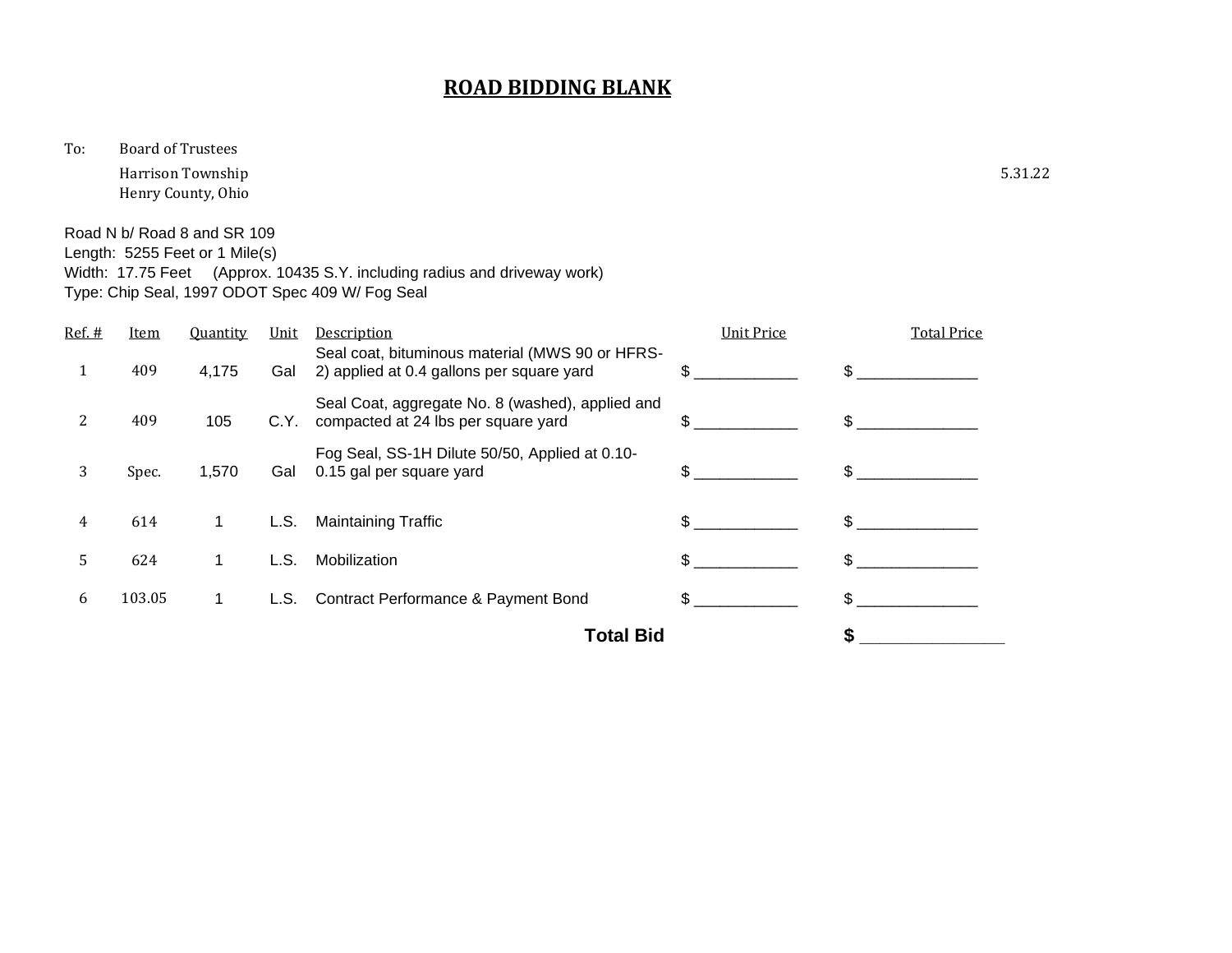To: Board of Trustees

Harrison Township 5.31.22 Henry County, Ohio

Road N b/ Road 8 and SR 109

Length: 5255 Feet or 1 Mile(s)

Width: 17.75 Feet (Approx. 10435 S.Y. including radius and driveway work) Type: Chip Seal, 1997 ODOT Spec 409 W/ Fog Seal

| Ref. # | Item             | <b>Quantity</b> | Unit | Description                                                                                  | <b>Unit Price</b> | <b>Total Price</b> |
|--------|------------------|-----------------|------|----------------------------------------------------------------------------------------------|-------------------|--------------------|
|        | 409              | 4,175           | Gal  | Seal coat, bituminous material (MWS 90 or HFRS-<br>2) applied at 0.4 gallons per square yard | \$.               | \$.                |
| 2      | 409              | 105             | C.Y. | Seal Coat, aggregate No. 8 (washed), applied and<br>compacted at 24 lbs per square yard      | \$.               | \$.                |
| 3      | Spec.            | 1,570           | Gal  | Fog Seal, SS-1H Dilute 50/50, Applied at 0.10-<br>0.15 gal per square yard                   | \$.               | \$                 |
| 4      | 614              | 1               | L.S. | <b>Maintaining Traffic</b>                                                                   |                   |                    |
| 5      | 624              | 1               | L.S. | Mobilization                                                                                 | \$.               | \$.                |
| 6      | 103.05           | 1.              | L.S. | Contract Performance & Payment Bond                                                          | \$.               | \$.                |
|        | <b>Total Bid</b> |                 |      |                                                                                              |                   |                    |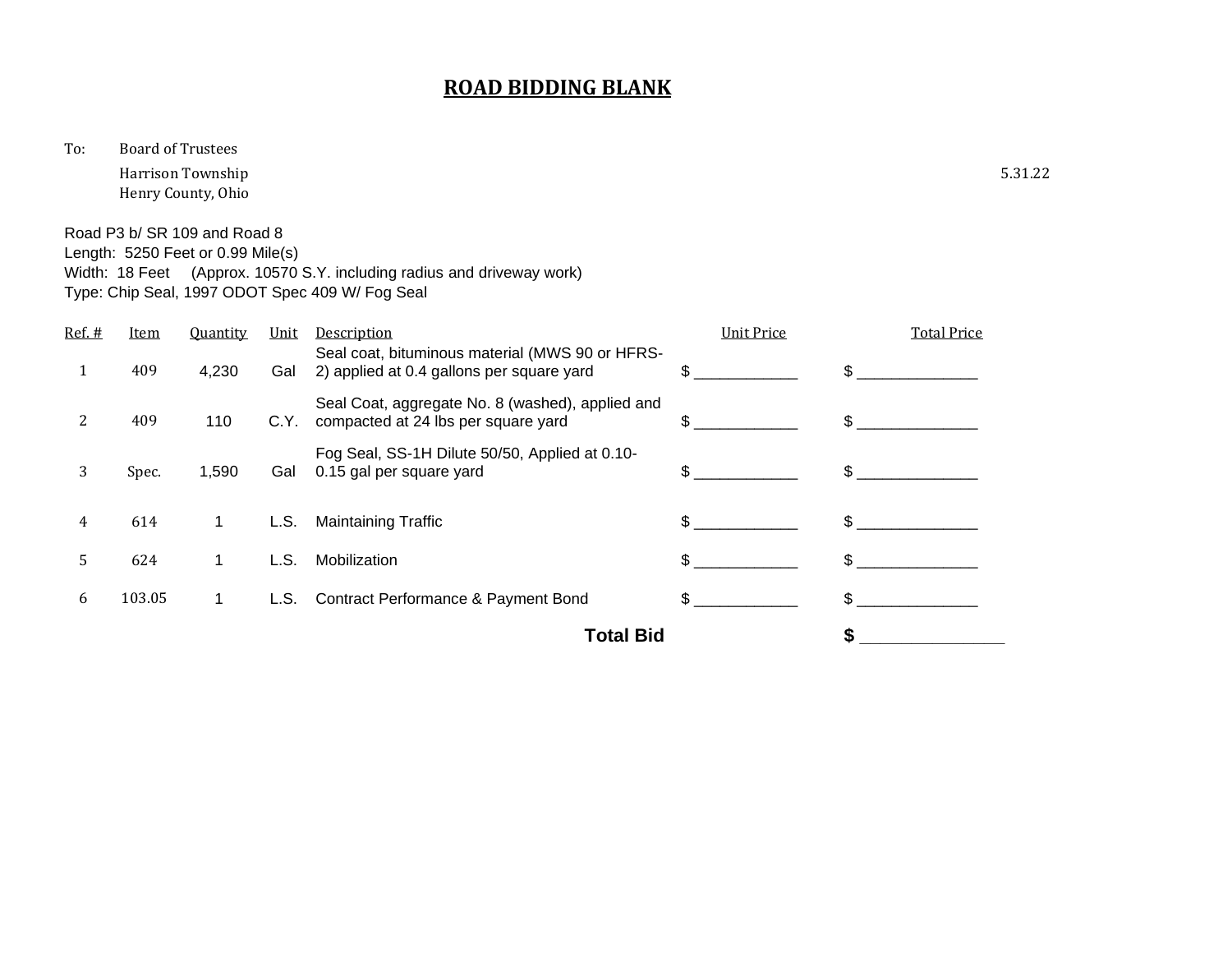To: Board of Trustees

Harrison Township 5.31.22 Henry County, Ohio

Road P3 b/ SR 109 and Road 8 Length: 5250 Feet or 0.99 Mile(s)

Width: 18 Feet (Approx. 10570 S.Y. including radius and driveway work)

Type: Chip Seal, 1997 ODOT Spec 409 W/ Fog Seal

| Ref. # | <b>Item</b>      | <b>Quantity</b> | Unit | Description                                                                                  | <b>Unit Price</b> | <b>Total Price</b> |
|--------|------------------|-----------------|------|----------------------------------------------------------------------------------------------|-------------------|--------------------|
| 1      | 409              | 4,230           | Gal  | Seal coat, bituminous material (MWS 90 or HFRS-<br>2) applied at 0.4 gallons per square yard | \$.               | \$.                |
| 2      | 409              | 110             | C.Y. | Seal Coat, aggregate No. 8 (washed), applied and<br>compacted at 24 lbs per square yard      | \$.               | \$                 |
| 3      | Spec.            | 1,590           | Gal  | Fog Seal, SS-1H Dilute 50/50, Applied at 0.10-<br>0.15 gal per square yard                   | \$.               |                    |
| 4      | 614              | 1               | L.S. | <b>Maintaining Traffic</b>                                                                   |                   |                    |
| 5      | 624              | 1               | L.S. | Mobilization                                                                                 | \$.               | \$.                |
| 6      | 103.05           | 1.              | L.S. | <b>Contract Performance &amp; Payment Bond</b>                                               | \$.               | \$.                |
|        | <b>Total Bid</b> |                 |      |                                                                                              |                   |                    |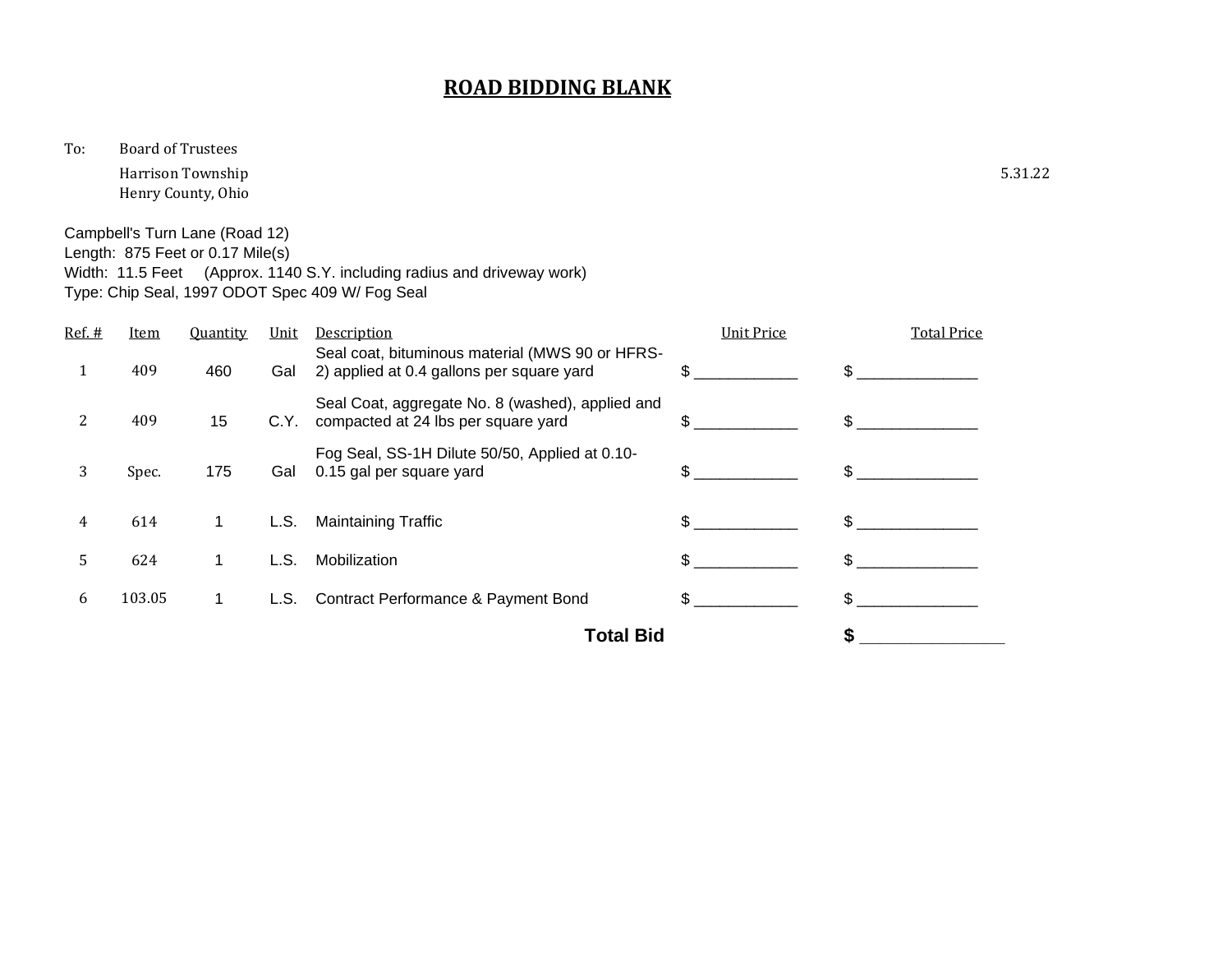To: Board of Trustees

Harrison Township 5.31.22 Henry County, Ohio

Campbell's Turn Lane (Road 12)

Length: 875 Feet or 0.17 Mile(s)

Width: 11.5 Feet (Approx. 1140 S.Y. including radius and driveway work) Type: Chip Seal, 1997 ODOT Spec 409 W/ Fog Seal

| Ref. # | <b>Item</b> | <b>Quantity</b> | Unit | Description                                                                                  | <b>Unit Price</b> | <b>Total Price</b> |
|--------|-------------|-----------------|------|----------------------------------------------------------------------------------------------|-------------------|--------------------|
| 1      | 409         | 460             | Gal  | Seal coat, bituminous material (MWS 90 or HFRS-<br>2) applied at 0.4 gallons per square yard | \$.               | \$.                |
| 2      | 409         | 15              | C.Y. | Seal Coat, aggregate No. 8 (washed), applied and<br>compacted at 24 lbs per square yard      | \$.               | \$.                |
| 3      | Spec.       | 175             | Gal  | Fog Seal, SS-1H Dilute 50/50, Applied at 0.10-<br>0.15 gal per square yard                   | \$.               | \$.                |
| 4      | 614         |                 | L.S. | <b>Maintaining Traffic</b>                                                                   | \$                | \$.                |
| 5      | 624         |                 | L.S. | Mobilization                                                                                 | \$.               | \$.                |
| 6      | 103.05      | 1.              | L.S. | <b>Contract Performance &amp; Payment Bond</b>                                               | \$.               |                    |
|        |             |                 |      | <b>Total Bid</b>                                                                             |                   | S                  |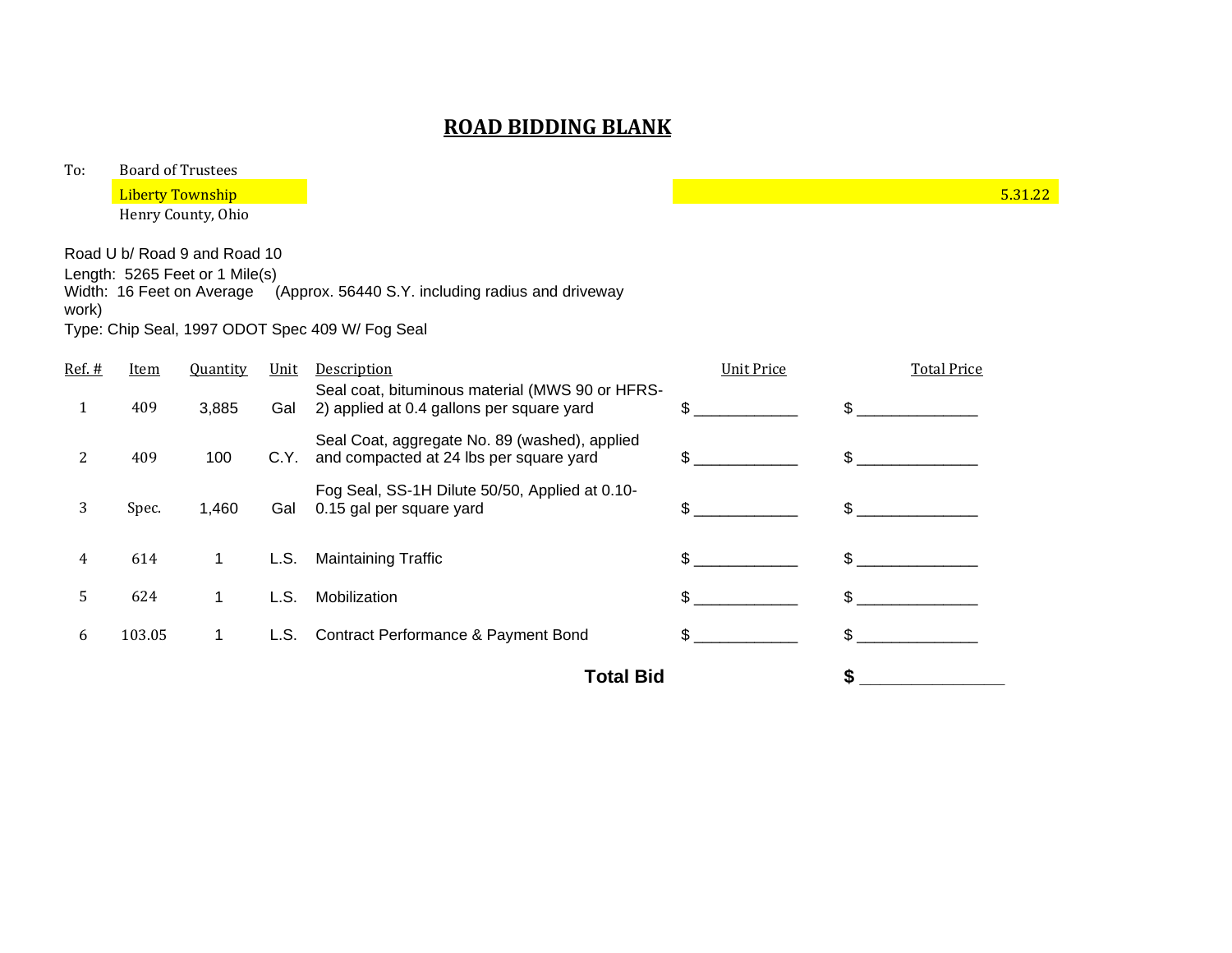| To:    |             | <b>Board of Trustees</b>       |      |                                                                                              |                   |                    |         |
|--------|-------------|--------------------------------|------|----------------------------------------------------------------------------------------------|-------------------|--------------------|---------|
|        |             | <b>Liberty Township</b>        |      |                                                                                              |                   |                    | 5.31.22 |
|        |             | Henry County, Ohio             |      |                                                                                              |                   |                    |         |
|        |             | Road U b/ Road 9 and Road 10   |      |                                                                                              |                   |                    |         |
|        |             | Length: 5265 Feet or 1 Mile(s) |      |                                                                                              |                   |                    |         |
| work)  |             |                                |      | Width: 16 Feet on Average (Approx. 56440 S.Y. including radius and driveway                  |                   |                    |         |
|        |             |                                |      | Type: Chip Seal, 1997 ODOT Spec 409 W/ Fog Seal                                              |                   |                    |         |
| Ref. # | <u>Item</u> | <b>Quantity</b>                | Unit | Description                                                                                  | <b>Unit Price</b> | <b>Total Price</b> |         |
| 1      | 409         | 3,885                          | Gal  | Seal coat, bituminous material (MWS 90 or HFRS-<br>2) applied at 0.4 gallons per square yard | \$                | $\mathbb{S}$       |         |
| 2      | 409         | 100                            | C.Y. | Seal Coat, aggregate No. 89 (washed), applied<br>and compacted at 24 lbs per square yard     | \$                | $\mathbb{S}$       |         |
| 3      | Spec.       | 1,460                          | Gal  | Fog Seal, SS-1H Dilute 50/50, Applied at 0.10-<br>0.15 gal per square yard                   | \$                | $\mathbb{S}$       |         |
| 4      | 614         | 1                              | L.S. | <b>Maintaining Traffic</b>                                                                   | \$.               | $\mathbb{S}$       |         |
| 5      | 624         | $\mathbf 1$                    | L.S. | Mobilization                                                                                 | \$                | $\mathfrak{S}$     |         |
| 6      | 103.05      | 1.                             | L.S. | Contract Performance & Payment Bond                                                          | \$.               | \$                 |         |
|        |             |                                |      | <b>Total Bid</b>                                                                             |                   | \$                 |         |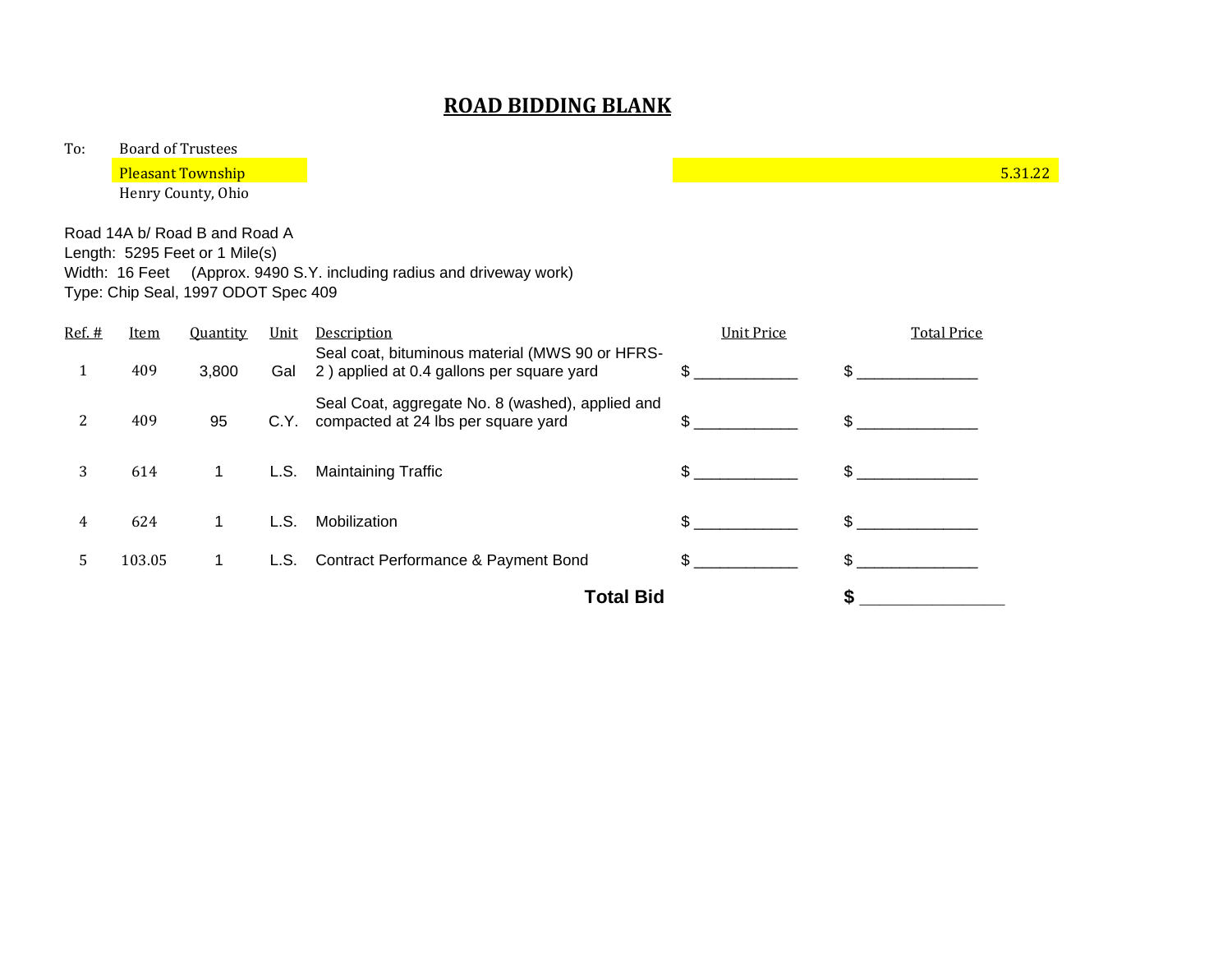To: Board of Trustees

**Pleasant Township 2.1.1.22** The set of the set of the set of the set of the set of the set of the set of the set of the set of the set of the set of the set of the set of the set of the set of the set of the set of the se

Henry County, Ohio

Road 14A b/ Road B and Road A

Length: 5295 Feet or 1 Mile(s) Width: 16 Feet (Approx. 9490 S.Y. including radius and driveway work) Type: Chip Seal, 1997 ODOT Spec 409

| $Ref.$ # | <u>Item</u>      | <b>Quantity</b> | Unit | <b>Description</b>                                                                           | <b>Unit Price</b> | <b>Total Price</b> |
|----------|------------------|-----------------|------|----------------------------------------------------------------------------------------------|-------------------|--------------------|
| 1        | 409              | 3,800           | Gal  | Seal coat, bituminous material (MWS 90 or HFRS-<br>2) applied at 0.4 gallons per square yard | \$.               | \$.                |
|          | 409              | 95              | C.Y. | Seal Coat, aggregate No. 8 (washed), applied and<br>compacted at 24 lbs per square yard      | \$.               | \$                 |
| 3        | 614              | 1               | L.S. | <b>Maintaining Traffic</b>                                                                   | \$.               | \$.                |
| 4        | 624              | 1               | L.S. | Mobilization                                                                                 | \$.               | \$.                |
| 5.       | 103.05           | 1               | L.S. | <b>Contract Performance &amp; Payment Bond</b>                                               | \$                |                    |
|          | <b>Total Bid</b> |                 |      |                                                                                              |                   |                    |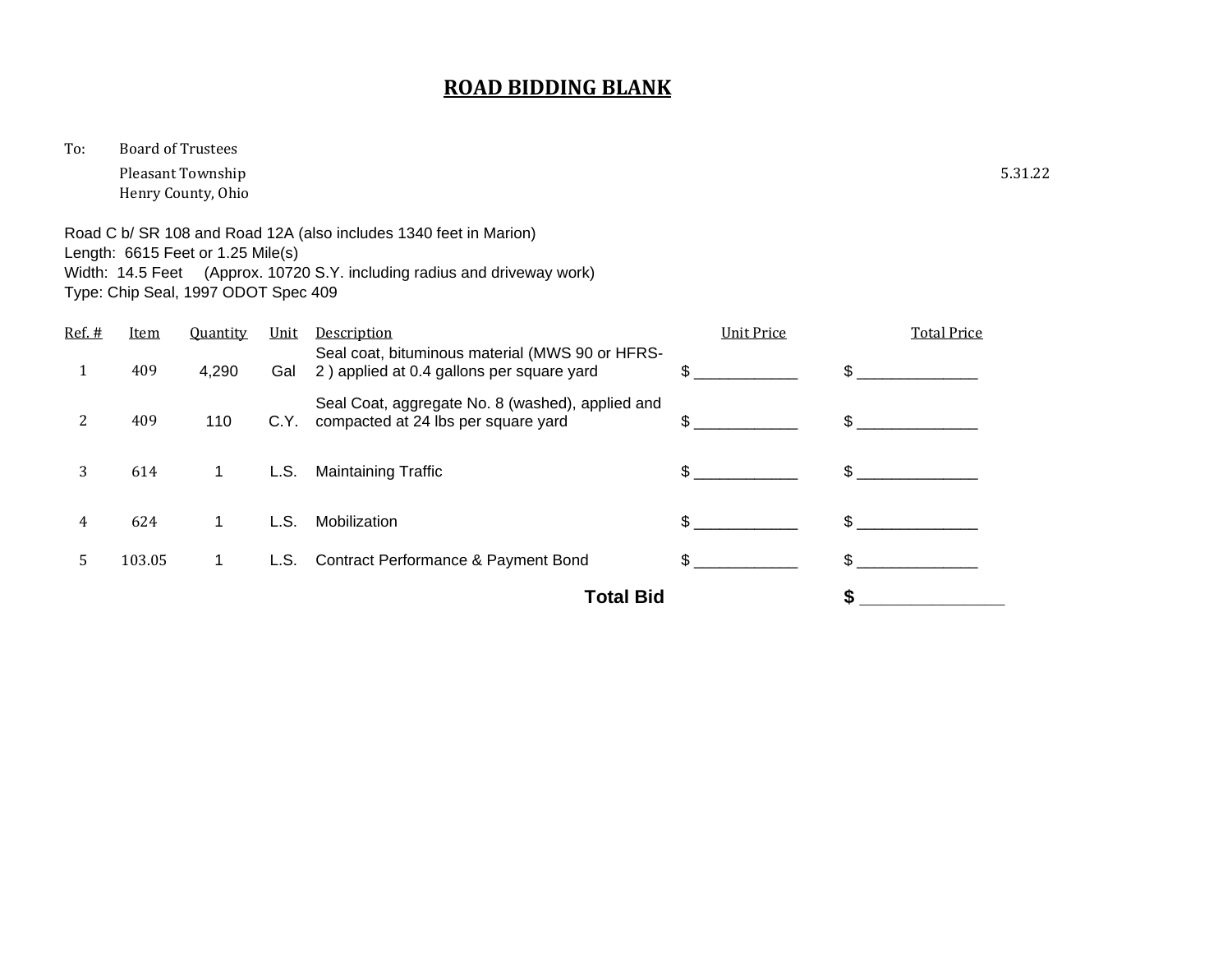To: Board of Trustees

Pleasant Township 5.31.22 Henry County, Ohio

Road C b/ SR 108 and Road 12A (also includes 1340 feet in Marion) Length: 6615 Feet or 1.25 Mile(s) Width: 14.5 Feet (Approx. 10720 S.Y. including radius and driveway work) Type: Chip Seal, 1997 ODOT Spec 409

| Ref. # | Item   | <b>Quantity</b> | Unit | Description                                                                                  | <b>Unit Price</b> | <b>Total Price</b> |
|--------|--------|-----------------|------|----------------------------------------------------------------------------------------------|-------------------|--------------------|
|        | 409    | 4,290           | Gal  | Seal coat, bituminous material (MWS 90 or HFRS-<br>2) applied at 0.4 gallons per square yard |                   |                    |
| 2      | 409    | 110             | C.Y. | Seal Coat, aggregate No. 8 (washed), applied and<br>compacted at 24 lbs per square yard      | \$.               | \$.                |
| 3      | 614    | 1               | L.S. | <b>Maintaining Traffic</b>                                                                   | \$.               | \$.                |
| 4      | 624    |                 | L.S. | Mobilization                                                                                 |                   | $\mathbb{S}$       |
| 5      | 103.05 | 1.              |      | L.S. Contract Performance & Payment Bond                                                     | \$.               | \$.                |
|        |        |                 |      | <b>Total Bid</b>                                                                             |                   |                    |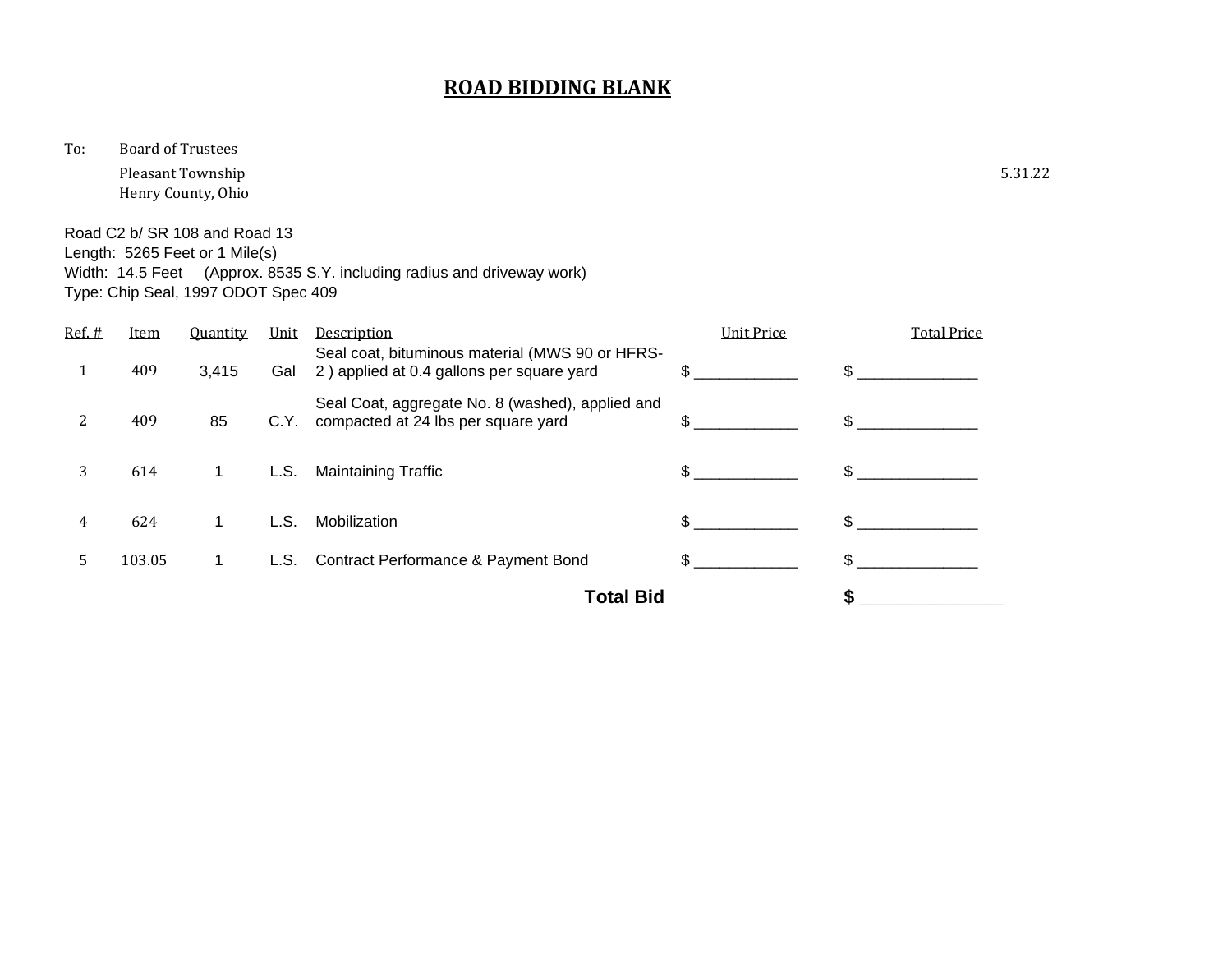To: Board of Trustees

Pleasant Township 5.31.22 Henry County, Ohio

Road C2 b/ SR 108 and Road 13 Length: 5265 Feet or 1 Mile(s) Width: 14.5 Feet (Approx. 8535 S.Y. including radius and driveway work) Type: Chip Seal, 1997 ODOT Spec 409

| Ref. # | <u>Item</u> | <b>Quantity</b> | Unit | Description                                                                                  | <b>Unit Price</b> | <b>Total Price</b> |
|--------|-------------|-----------------|------|----------------------------------------------------------------------------------------------|-------------------|--------------------|
| 1      | 409         | 3,415           | Gal  | Seal coat, bituminous material (MWS 90 or HFRS-<br>2) applied at 0.4 gallons per square yard | \$.               | \$                 |
|        | 409         | 85              | C.Y. | Seal Coat, aggregate No. 8 (washed), applied and<br>compacted at 24 lbs per square yard      | \$.               | \$.                |
| 3      | 614         | 1.              | L.S. | <b>Maintaining Traffic</b>                                                                   | \$.               | \$.                |
| 4      | 624         |                 | L.S. | Mobilization                                                                                 | \$.               | \$.                |
| 5      | 103.05      | 1.              | L.S. | <b>Contract Performance &amp; Payment Bond</b>                                               | \$.               |                    |
|        |             |                 |      | <b>Total Bid</b>                                                                             |                   |                    |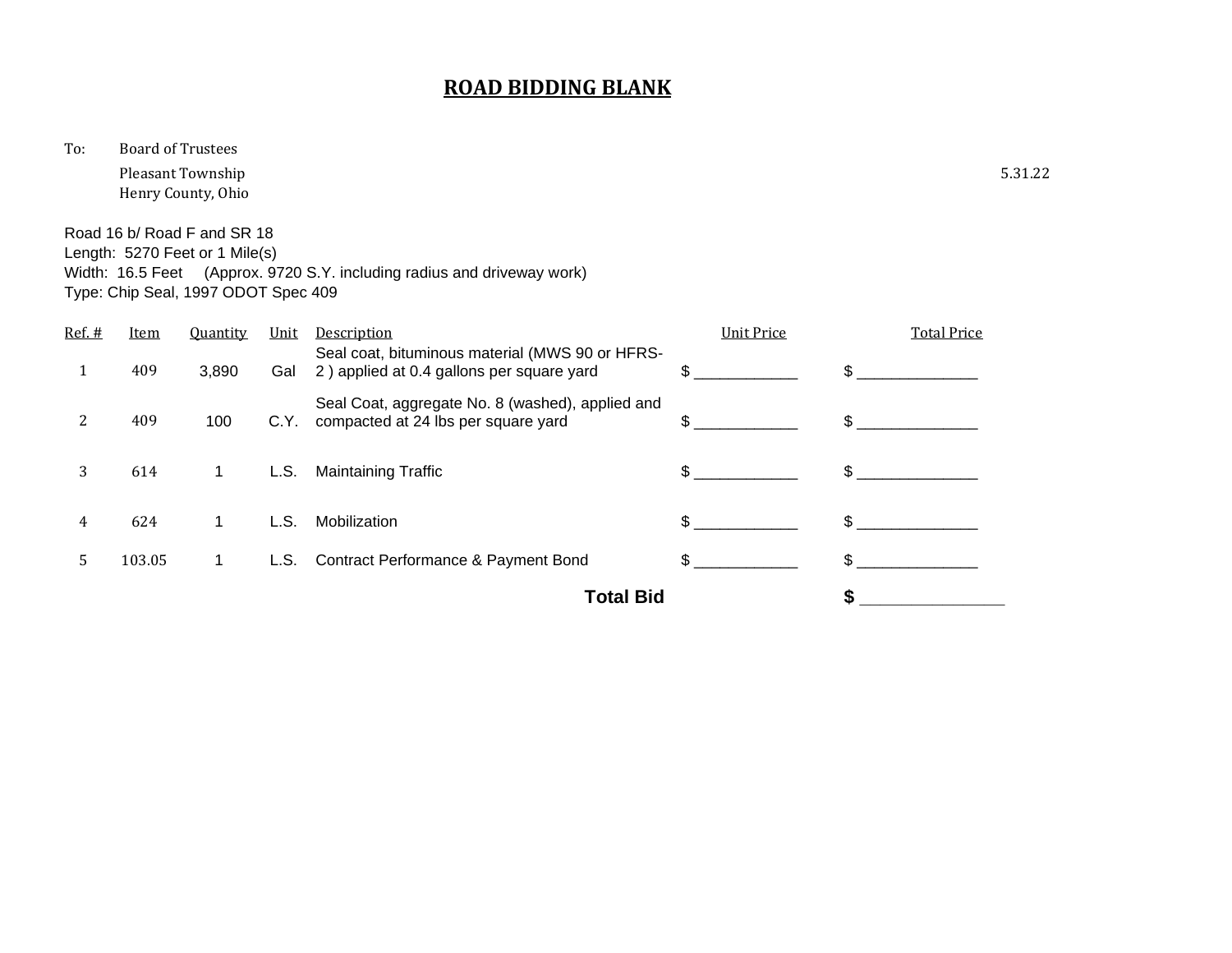To: Board of Trustees

Pleasant Township 5.31.22 Henry County, Ohio

Road 16 b/ Road F and SR 18 Length: 5270 Feet or 1 Mile(s) Width: 16.5 Feet (Approx. 9720 S.Y. including radius and driveway work) Type: Chip Seal, 1997 ODOT Spec 409

| $Ref.$ # | <u>Item</u> | <b>Quantity</b> | Unit | Description                                                                                  | <b>Unit Price</b> | <b>Total Price</b> |
|----------|-------------|-----------------|------|----------------------------------------------------------------------------------------------|-------------------|--------------------|
| 1        | 409         | 3,890           | Gal  | Seal coat, bituminous material (MWS 90 or HFRS-<br>2) applied at 0.4 gallons per square yard | \$.               | \$                 |
| 2        | 409         | 100             | C.Y. | Seal Coat, aggregate No. 8 (washed), applied and<br>compacted at 24 lbs per square yard      | \$.               | $\mathfrak{L}$     |
| 3        | 614         | 1               | L.S. | <b>Maintaining Traffic</b>                                                                   | \$.               | \$.                |
| 4        | 624         |                 | L.S. | Mobilization                                                                                 | \$.               | \$.                |
| 5        | 103.05      | 1.              |      | L.S. Contract Performance & Payment Bond                                                     | \$.               | \$.                |
|          |             |                 |      | <b>Total Bid</b>                                                                             |                   |                    |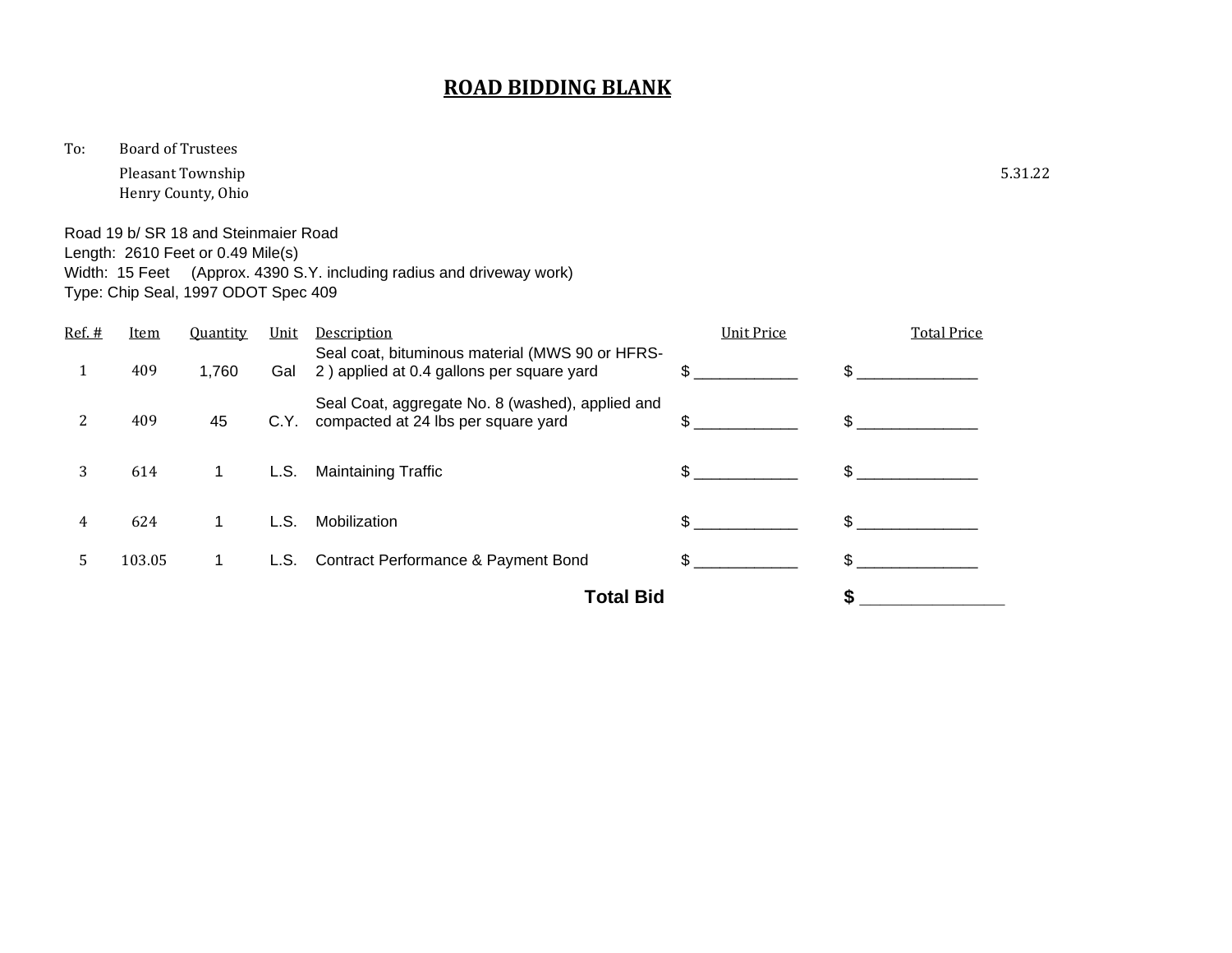To: Board of Trustees

Pleasant Township 5.31.22 Henry County, Ohio

Road 19 b/ SR 18 and Steinmaier Road Length: 2610 Feet or 0.49 Mile(s) Width: 15 Feet (Approx. 4390 S.Y. including radius and driveway work) Type: Chip Seal, 1997 ODOT Spec 409

| Ref. # | Item   | <b>Quantity</b> | Unit | Description                                                                                  | <b>Unit Price</b> | <b>Total Price</b> |
|--------|--------|-----------------|------|----------------------------------------------------------------------------------------------|-------------------|--------------------|
| 1      | 409    | 1,760           | Gal  | Seal coat, bituminous material (MWS 90 or HFRS-<br>2) applied at 0.4 gallons per square yard | \$.               | \$                 |
| 2      | 409    | 45              | C.Y. | Seal Coat, aggregate No. 8 (washed), applied and<br>compacted at 24 lbs per square yard      | \$.               | \$.                |
| 3      | 614    | 1               | L.S. | <b>Maintaining Traffic</b>                                                                   | \$.               | \$.                |
| 4      | 624    |                 | L.S. | Mobilization                                                                                 | \$.               | \$                 |
| 5.     | 103.05 | 1.              | L.S. | Contract Performance & Payment Bond                                                          | \$.               | \$.                |
|        |        |                 |      | <b>Total Bid</b>                                                                             |                   |                    |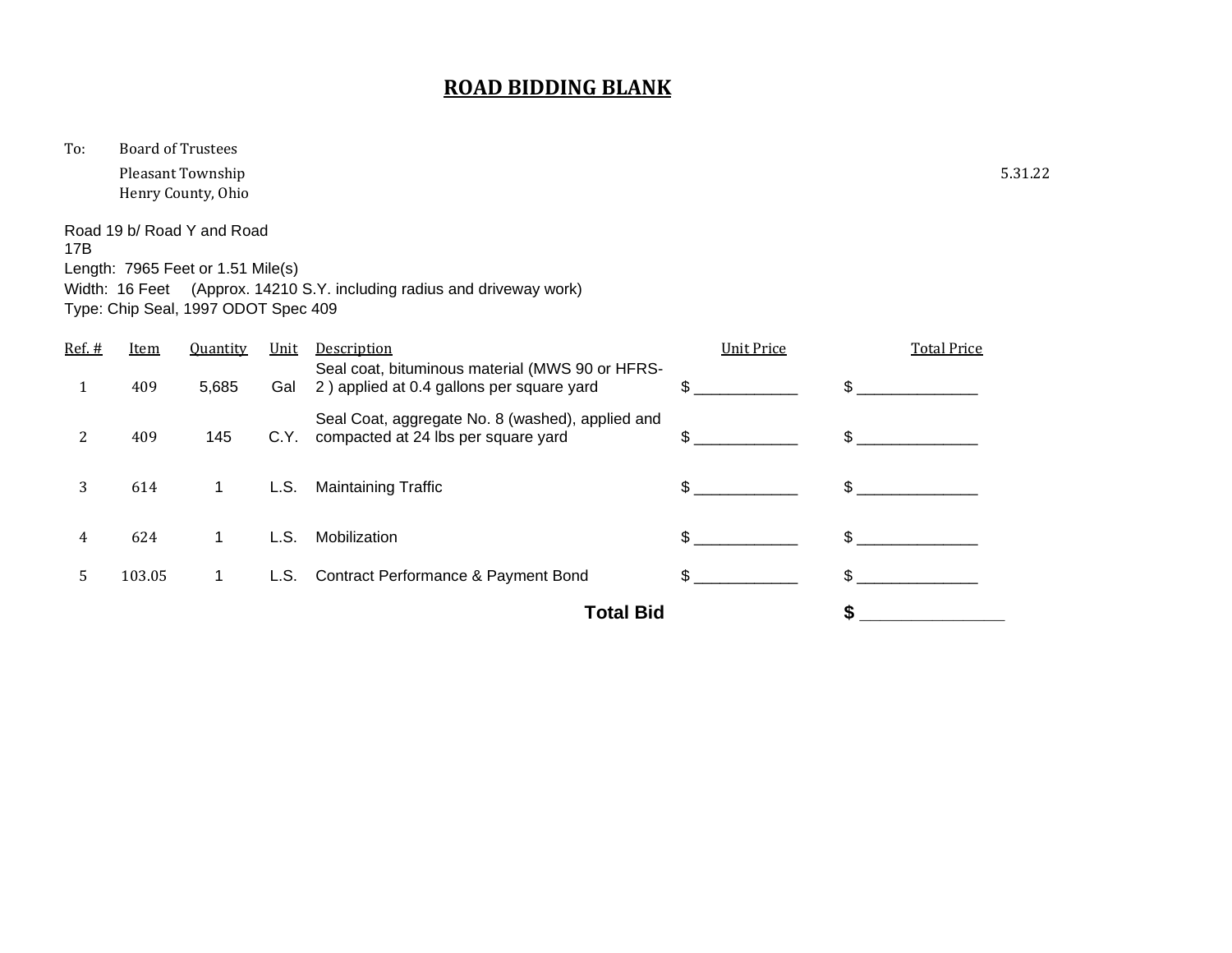To: Board of Trustees

Pleasant Township 5.31.22 Henry County, Ohio

Road 19 b/ Road Y and Road 17B Length: 7965 Feet or 1.51 Mile(s)

Width: 16 Feet (Approx. 14210 S.Y. including radius and driveway work) Type: Chip Seal, 1997 ODOT Spec 409

|        |        |                 |      | <b>Total Bid</b>                                                                             |                   |                    |
|--------|--------|-----------------|------|----------------------------------------------------------------------------------------------|-------------------|--------------------|
| 5      | 103.05 | 1.              |      | L.S. Contract Performance & Payment Bond                                                     |                   | \$.                |
| 4      | 624    |                 | L.S. | Mobilization                                                                                 |                   | \$.                |
| 3      | 614    | 1.              | L.S. | <b>Maintaining Traffic</b>                                                                   | \$.               | \$.                |
| 2      | 409    | 145             | C.Y. | Seal Coat, aggregate No. 8 (washed), applied and<br>compacted at 24 lbs per square yard      | \$.               | \$.                |
|        | 409    | 5,685           | Gal  | Seal coat, bituminous material (MWS 90 or HFRS-<br>2) applied at 0.4 gallons per square yard |                   |                    |
| Ref. # | Item   | <b>Quantity</b> | Unit | Description                                                                                  | <b>Unit Price</b> | <b>Total Price</b> |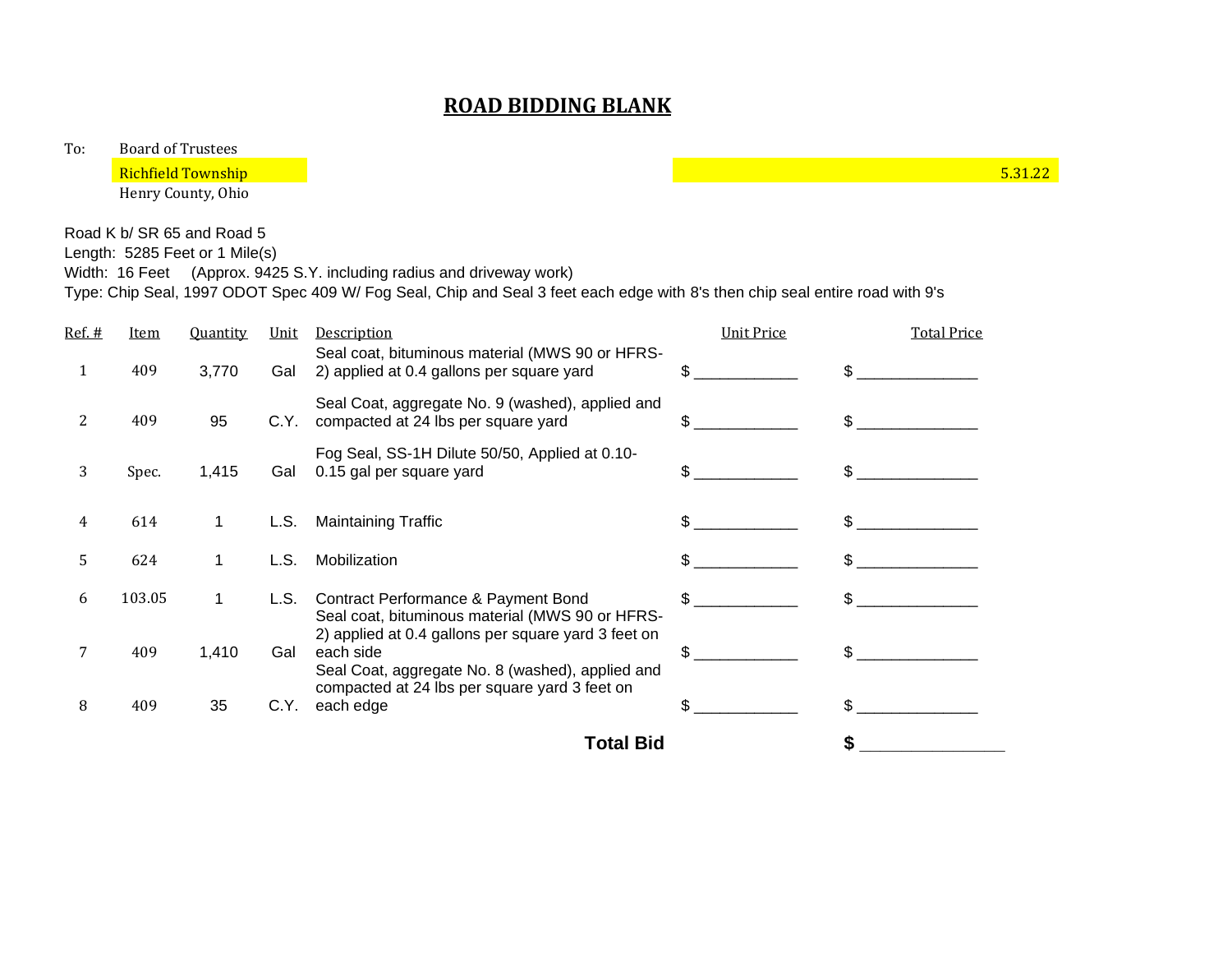To: Board of Trustees

Henry County, Ohio

Road K b/ SR 65 and Road 5

Length: 5285 Feet or 1 Mile(s)

Width: 16 Feet (Approx. 9425 S.Y. including radius and driveway work)

Type: Chip Seal, 1997 ODOT Spec 409 W/ Fog Seal, Chip and Seal 3 feet each edge with 8's then chip seal entire road with 9's

| Ref. #        | <b>Item</b> | <b>Quantity</b> | <u>Unit</u> | Description                                                                                                                                                           | <b>Unit Price</b> | <b>Total Price</b> |
|---------------|-------------|-----------------|-------------|-----------------------------------------------------------------------------------------------------------------------------------------------------------------------|-------------------|--------------------|
| 1             | 409         | 3,770           | Gal         | Seal coat, bituminous material (MWS 90 or HFRS-<br>2) applied at 0.4 gallons per square yard                                                                          |                   |                    |
| $\mathcal{L}$ | 409         | 95              | C.Y.        | Seal Coat, aggregate No. 9 (washed), applied and<br>compacted at 24 lbs per square yard                                                                               | \$.               |                    |
| 3             | Spec.       | 1,415           | Gal         | Fog Seal, SS-1H Dilute 50/50, Applied at 0.10-<br>0.15 gal per square yard                                                                                            | \$.               |                    |
| 4             | 614         | 1               | L.S.        | <b>Maintaining Traffic</b>                                                                                                                                            |                   |                    |
| 5             | 624         |                 | L.S.        | Mobilization                                                                                                                                                          |                   |                    |
| 6             | 103.05      | 1               | L.S.        | Contract Performance & Payment Bond<br>Seal coat, bituminous material (MWS 90 or HFRS-                                                                                | \$.               |                    |
|               | 409         | 1,410           | Gal         | 2) applied at 0.4 gallons per square yard 3 feet on<br>each side<br>Seal Coat, aggregate No. 8 (washed), applied and<br>compacted at 24 lbs per square yard 3 feet on | \$.               |                    |
| 8             | 409         | 35              | C.Y.        | each edge                                                                                                                                                             |                   |                    |
|               |             |                 |             | <b>Total Bid</b>                                                                                                                                                      |                   |                    |

Richfield Township 5.31.22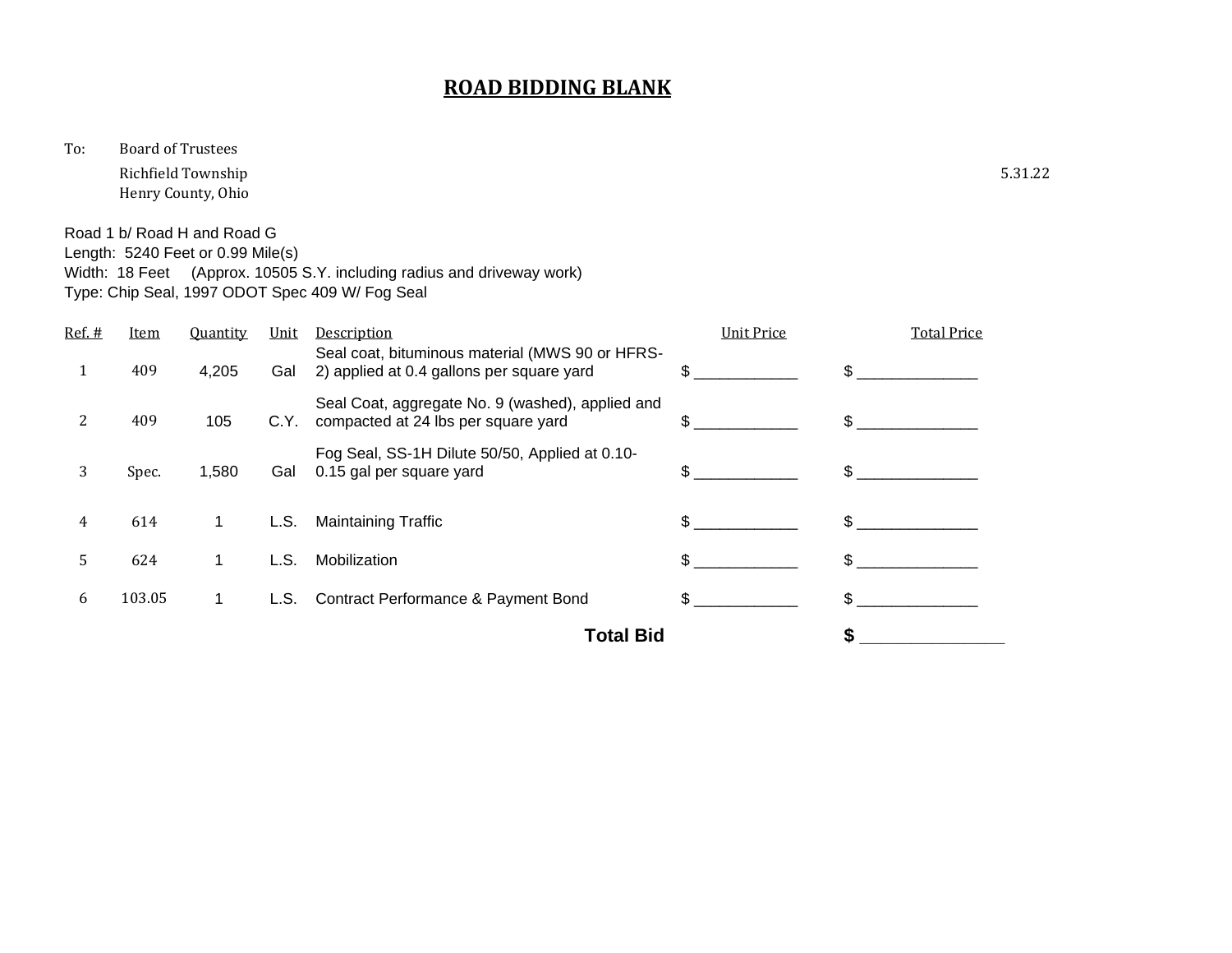To: Board of Trustees

Richfield Township 5.31.22 Henry County, Ohio

Road 1 b/ Road H and Road G Length: 5240 Feet or 0.99 Mile(s) Width: 18 Feet (Approx. 10505 S.Y. including radius and driveway work) Type: Chip Seal, 1997 ODOT Spec 409 W/ Fog Seal

| Ref. # | <b>Item</b> | <b>Quantity</b> | Unit | <b>Description</b>                                                                           | <b>Unit Price</b> | <b>Total Price</b> |
|--------|-------------|-----------------|------|----------------------------------------------------------------------------------------------|-------------------|--------------------|
|        | 409         | 4,205           | Gal  | Seal coat, bituminous material (MWS 90 or HFRS-<br>2) applied at 0.4 gallons per square yard | \$.               | \$.                |
| 2      | 409         | 105             | C.Y. | Seal Coat, aggregate No. 9 (washed), applied and<br>compacted at 24 lbs per square yard      | \$.               | \$.                |
| 3      | Spec.       | 1,580           | Gal  | Fog Seal, SS-1H Dilute 50/50, Applied at 0.10-<br>0.15 gal per square yard                   | \$.               | \$                 |
| 4      | 614         |                 | L.S. | <b>Maintaining Traffic</b>                                                                   | \$                | \$.                |
| 5      | 624         |                 | L.S. | Mobilization                                                                                 | \$.               |                    |
| 6      | 103.05      | 1.              | L.S. | <b>Contract Performance &amp; Payment Bond</b>                                               | \$.               |                    |
|        |             |                 |      | <b>Total Bid</b>                                                                             |                   |                    |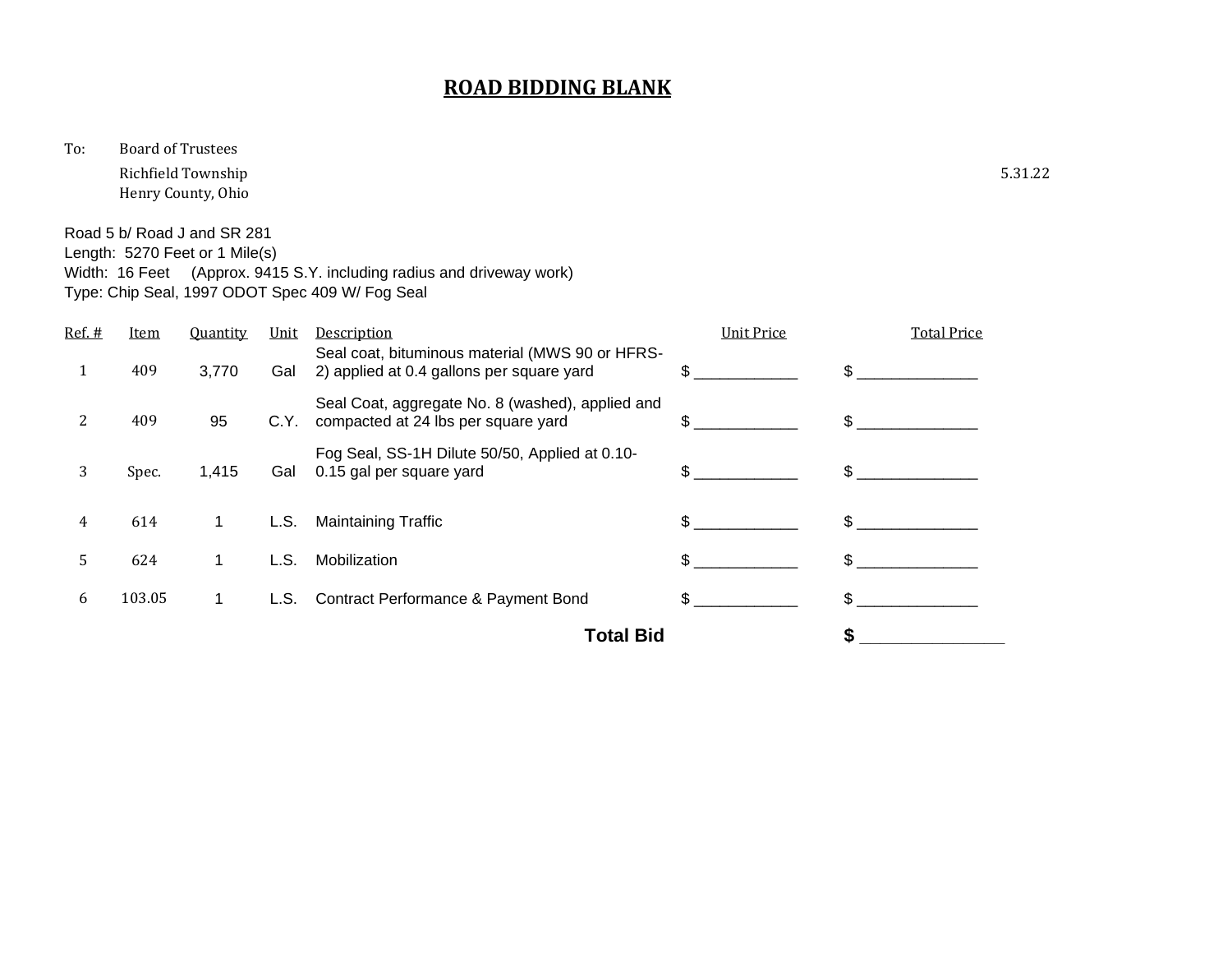To: Board of Trustees

Richfield Township 5.31.22 Henry County, Ohio

Width: 16 Feet (Approx. 9415 S.Y. including radius and driveway work)

Road 5 b/ Road J and SR 281 Length: 5270 Feet or 1 Mile(s)

|        |             |                 |      | Type: Chip Seal, 1997 ODOT Spec 409 W/ Fog Seal                                              |                   |                    |  |
|--------|-------------|-----------------|------|----------------------------------------------------------------------------------------------|-------------------|--------------------|--|
| Ref. # | <b>Item</b> | <b>Quantity</b> | Unit | Description                                                                                  | <b>Unit Price</b> | <b>Total Price</b> |  |
|        | 409         | 3,770           | Gal  | Seal coat, bituminous material (MWS 90 or HFRS-<br>2) applied at 0.4 gallons per square yard | \$.               |                    |  |
| 2      | 409         | 95              | C.Y. | Seal Coat, aggregate No. 8 (washed), applied and<br>compacted at 24 lbs per square yard      | \$.               | $\mathbf{f}$       |  |
| 3      | Spec.       | 1,415           | Gal  | Fog Seal, SS-1H Dilute 50/50, Applied at 0.10-<br>0.15 gal per square yard                   | \$.               | \$                 |  |
| 4      | 614         | 1               | L.S. | <b>Maintaining Traffic</b>                                                                   | \$                |                    |  |
| 5      | 624         | 1               | L.S. | Mobilization                                                                                 | \$                | \$                 |  |
| 6      | 103.05      | 1.              | L.S. | Contract Performance & Payment Bond                                                          | \$                | \$.                |  |
|        |             |                 |      | <b>Total Bid</b>                                                                             |                   |                    |  |
|        |             |                 |      |                                                                                              |                   |                    |  |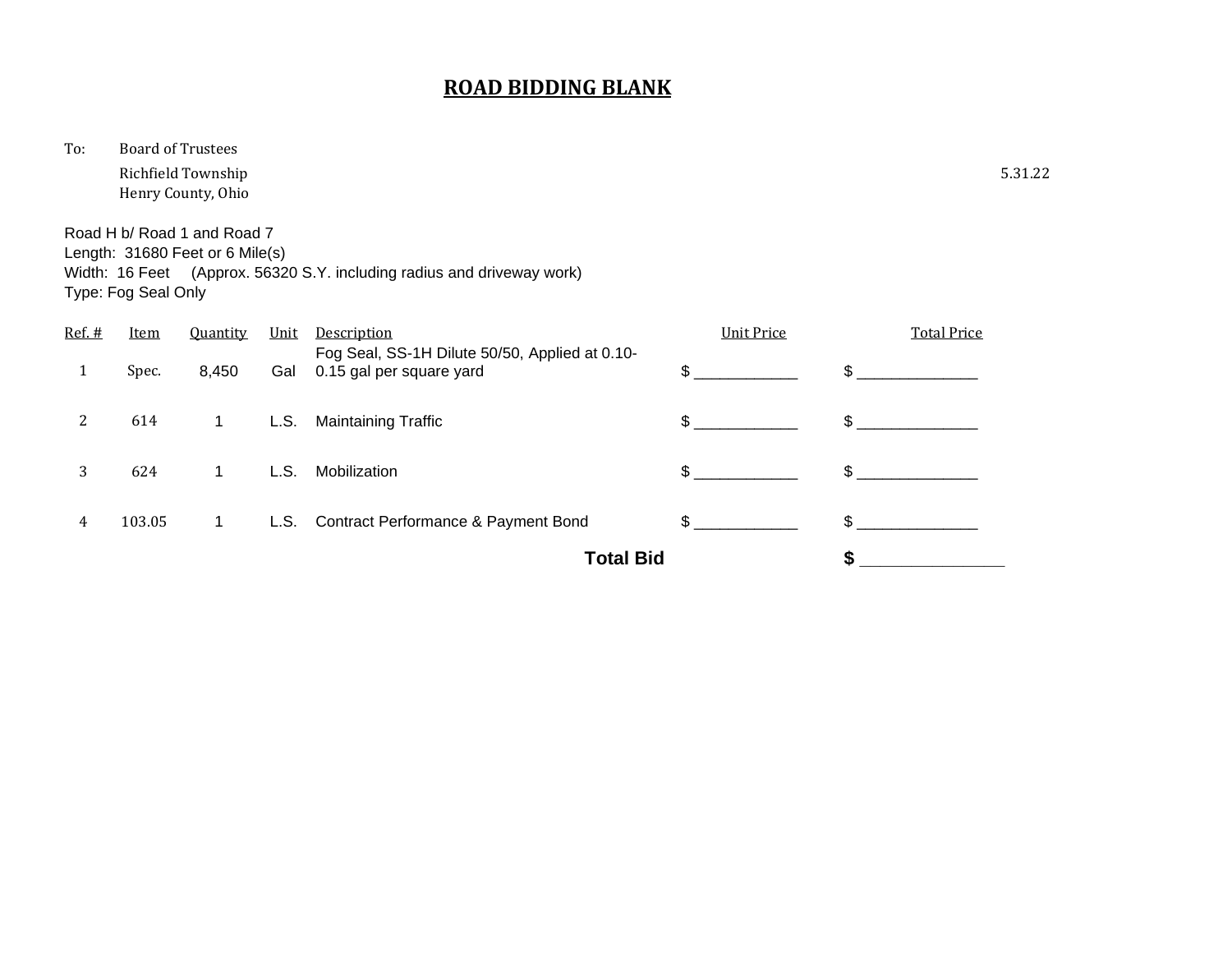To: Board of Trustees

Richfield Township 5.31.22 Henry County, Ohio

Road H b/ Road 1 and Road 7 Length: 31680 Feet or 6 Mile(s) Width: 16 Feet (Approx. 56320 S.Y. including radius and driveway work) Type: Fog Seal Only

|        |             |                 |      | <b>Total Bid</b>                                                           |                   |                    |
|--------|-------------|-----------------|------|----------------------------------------------------------------------------|-------------------|--------------------|
| 4      | 103.05      | 1               |      | L.S. Contract Performance & Payment Bond                                   | $\sim$            | \$                 |
| 3      | 624         | 1               | L.S. | Mobilization                                                               | \$.               | \$                 |
| 2      | 614         | 1               |      | L.S. Maintaining Traffic                                                   | $\mathbb{S}$      | \$                 |
|        | Spec.       | 8,450           | Gal  | Fog Seal, SS-1H Dilute 50/50, Applied at 0.10-<br>0.15 gal per square yard | \$                | \$                 |
| Ref. # | <b>Item</b> | <b>Quantity</b> | Unit | <b>Description</b>                                                         | <b>Unit Price</b> | <b>Total Price</b> |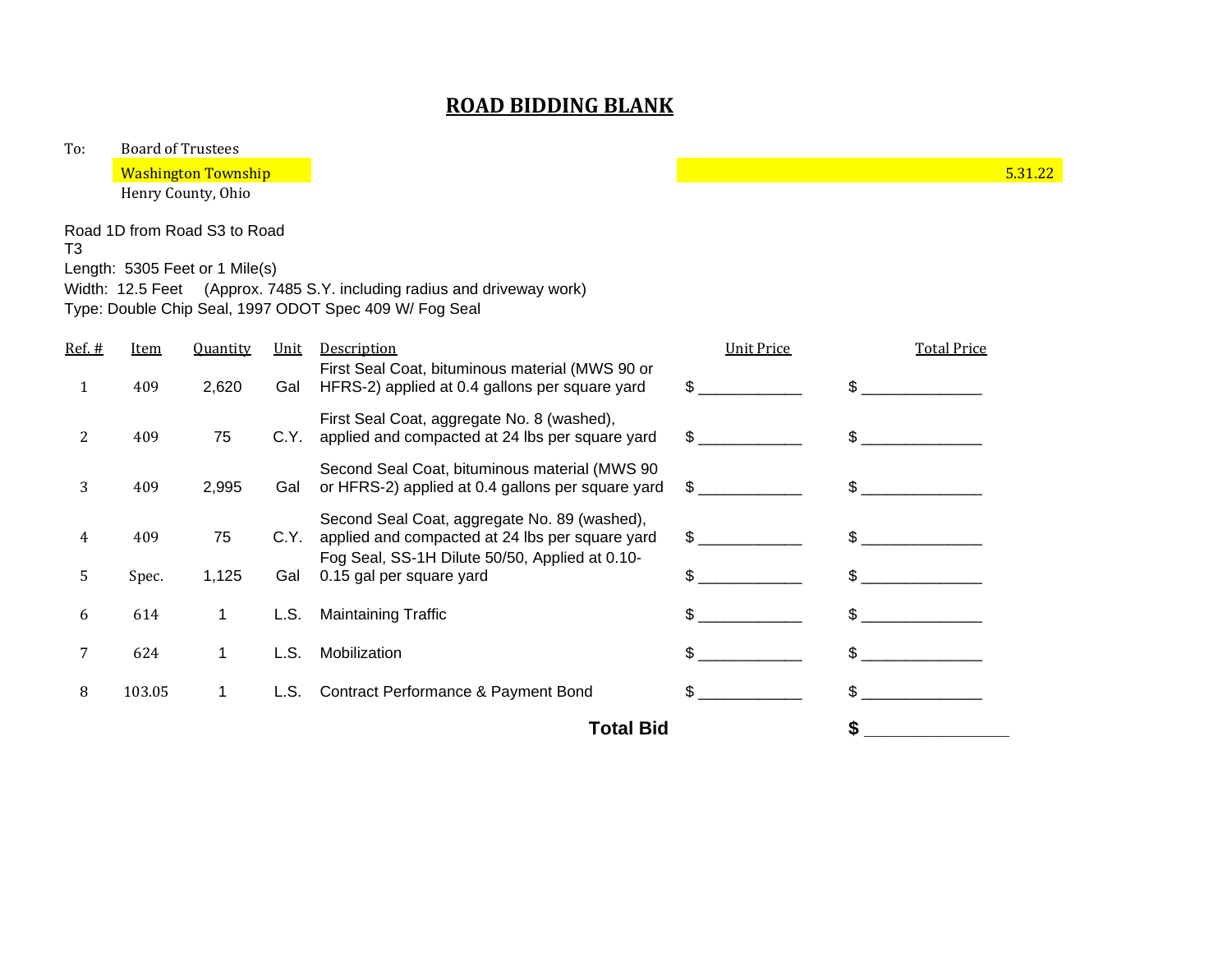To: Board of Trustees

**Example 19 Solution 10** Section 10 Number 2014 10:30 Number 2014 10:30 Number 2014 10:30 Number 2014 10:31.22

Henry County, Ohio

Road 1D from Road S3 to Road

T3

Length: 5305 Feet or 1 Mile(s)

Width: 12.5 Feet (Approx. 7485 S.Y. including radius and driveway work) Type: Double Chip Seal, 1997 ODOT Spec 409 W/ Fog Seal

| 8      | 103.05      |                 | L.S. | <b>Contract Performance &amp; Payment Bond</b>                                                      | \$.                           | \$.                |
|--------|-------------|-----------------|------|-----------------------------------------------------------------------------------------------------|-------------------------------|--------------------|
|        | 624         |                 | L.S. | Mobilization                                                                                        | \$.                           |                    |
| 6      | 614         |                 | L.S. | <b>Maintaining Traffic</b>                                                                          |                               |                    |
| 5      | Spec.       | 1,125           | Gal  | Fog Seal, SS-1H Dilute 50/50, Applied at 0.10-<br>0.15 gal per square yard                          | \$.                           | \$.                |
| 4      | 409         | 75              | C.Y. | Second Seal Coat, aggregate No. 89 (washed),<br>applied and compacted at 24 lbs per square yard     | \$                            | \$.                |
| 3      | 409         | 2,995           | Gal  | Second Seal Coat, bituminous material (MWS 90)<br>or HFRS-2) applied at 0.4 gallons per square yard | $\mathbb{S}$ and $\mathbb{S}$ |                    |
| 2      | 409         | 75              | C.Y. | First Seal Coat, aggregate No. 8 (washed),<br>applied and compacted at 24 lbs per square yard       | $\mathbb{S}$ and $\mathbb{S}$ | \$.                |
| 1      | 409         | 2,620           | Gal  | First Seal Coat, bituminous material (MWS 90 or<br>HFRS-2) applied at 0.4 gallons per square yard   | \$                            |                    |
| Ref. # | <u>Item</u> | <b>Quantity</b> | Unit | Description                                                                                         | <b>Unit Price</b>             | <b>Total Price</b> |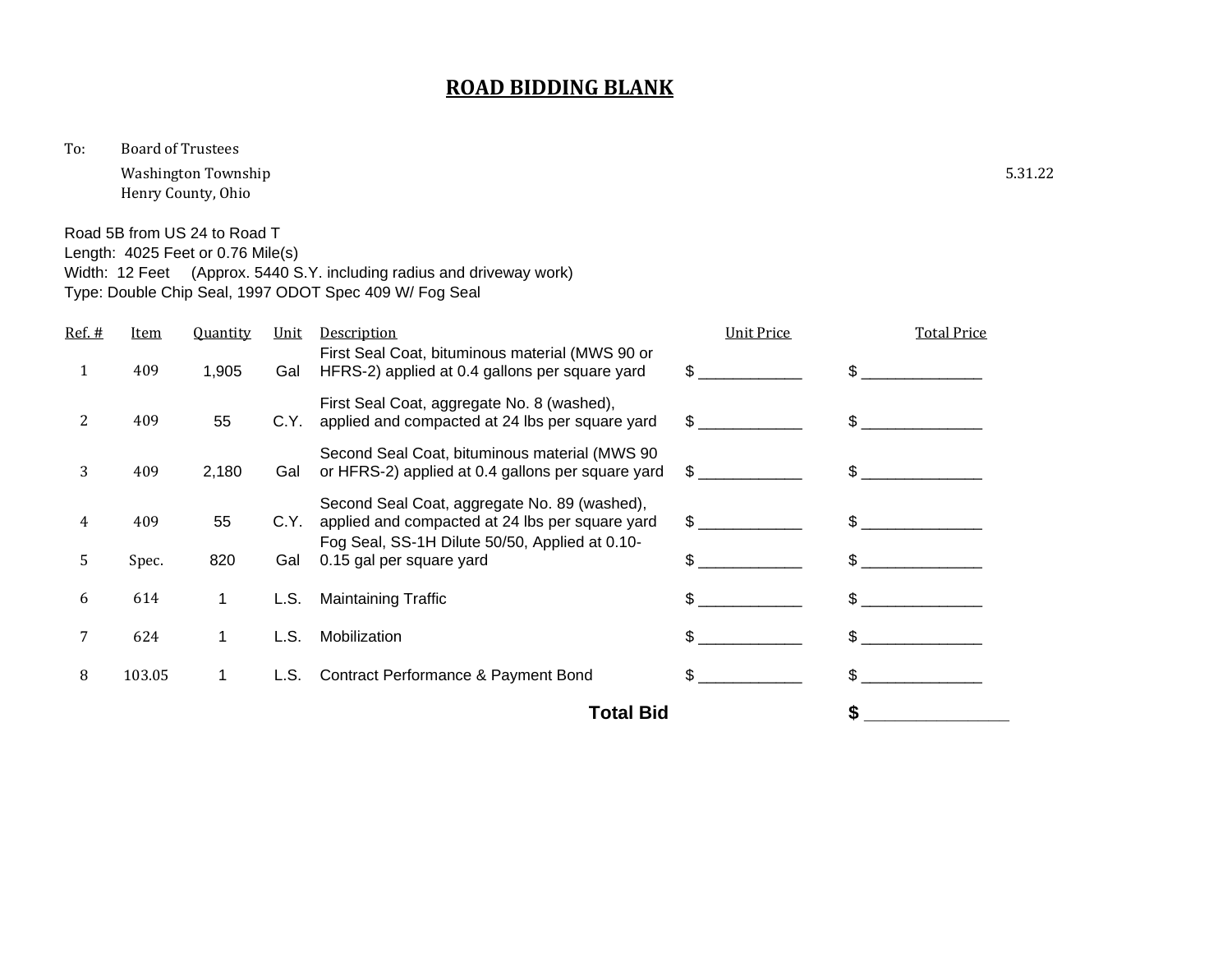To: Board of Trustees

Washington Township 5.31.22 Henry County, Ohio

Road 5B from US 24 to Road T

Length: 4025 Feet or 0.76 Mile(s)

Width: 12 Feet (Approx. 5440 S.Y. including radius and driveway work)

Type: Double Chip Seal, 1997 ODOT Spec 409 W/ Fog Seal

| <u>Ref. #</u> | <u>Item</u> | <b>Quantity</b> | Unit | Description                                                                                         | <b>Unit Price</b> | <b>Total Price</b> |
|---------------|-------------|-----------------|------|-----------------------------------------------------------------------------------------------------|-------------------|--------------------|
| 1             | 409         | 1,905           | Gal  | First Seal Coat, bituminous material (MWS 90 or<br>HFRS-2) applied at 0.4 gallons per square yard   | \$                |                    |
| 2             | 409         | 55              | C.Y. | First Seal Coat, aggregate No. 8 (washed),<br>applied and compacted at 24 lbs per square yard       | $\mathbb{S}$      | \$.                |
| 3             | 409         | 2,180           | Gal  | Second Seal Coat, bituminous material (MWS 90)<br>or HFRS-2) applied at 0.4 gallons per square yard | $\mathbb{S}$      |                    |
| 4             | 409         | 55              | C.Y. | Second Seal Coat, aggregate No. 89 (washed),<br>applied and compacted at 24 lbs per square yard     | \$                | $\mathcal{L}$      |
| 5.            | Spec.       | 820             | Gal  | Fog Seal, SS-1H Dilute 50/50, Applied at 0.10-<br>0.15 gal per square yard                          | \$.               |                    |
| 6             | 614         | 1               | L.S. | <b>Maintaining Traffic</b>                                                                          |                   |                    |
|               | 624         |                 | L.S. | Mobilization                                                                                        | \$.               |                    |
| 8             | 103.05      | 1               | L.S. | Contract Performance & Payment Bond                                                                 | \$                | \$.                |
|               |             |                 |      | <b>Total Bid</b>                                                                                    |                   |                    |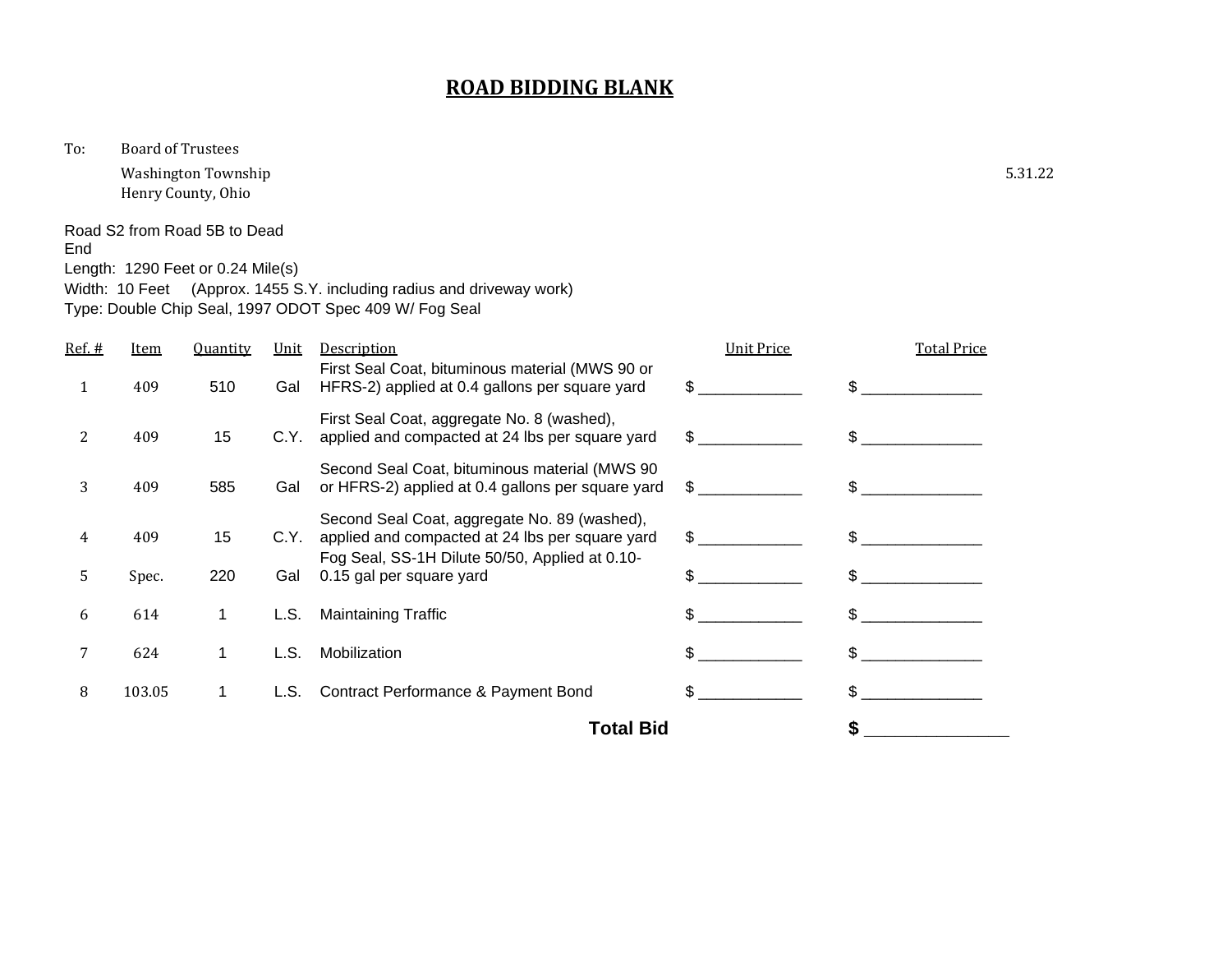To: Board of Trustees

Washington Township 5.31.22 Henry County, Ohio

Road S2 from Road 5B to Dead End

Length: 1290 Feet or 0.24 Mile(s)

Width: 10 Feet (Approx. 1455 S.Y. including radius and driveway work) Type: Double Chip Seal, 1997 ODOT Spec 409 W/ Fog Seal

|        |        |                 |      | <b>Total Bid</b>                                                                                    |                   |                    |
|--------|--------|-----------------|------|-----------------------------------------------------------------------------------------------------|-------------------|--------------------|
| 8      | 103.05 | 1               | L.S. | Contract Performance & Payment Bond                                                                 | \$.               | \$.                |
| 7      | 624    |                 | L.S. | Mobilization                                                                                        |                   |                    |
| 6      | 614    |                 | L.S. | <b>Maintaining Traffic</b>                                                                          |                   |                    |
| 5.     | Spec.  | 220             | Gal  | Fog Seal, SS-1H Dilute 50/50, Applied at 0.10-<br>0.15 gal per square yard                          | \$.               | \$.                |
| 4      | 409    | 15              | C.Y. | Second Seal Coat, aggregate No. 89 (washed),<br>applied and compacted at 24 lbs per square yard     | \$                | \$.                |
| 3      | 409    | 585             | Gal  | Second Seal Coat, bituminous material (MWS 90)<br>or HFRS-2) applied at 0.4 gallons per square yard | \$                |                    |
| 2      | 409    | 15              | C.Y. | First Seal Coat, aggregate No. 8 (washed),<br>applied and compacted at 24 lbs per square yard       | \$                | \$                 |
| 1      | 409    | 510             | Gal  | First Seal Coat, bituminous material (MWS 90 or<br>HFRS-2) applied at 0.4 gallons per square yard   |                   |                    |
| Ref. # | Item   | <b>Quantity</b> | Unit | Description                                                                                         | <b>Unit Price</b> | <b>Total Price</b> |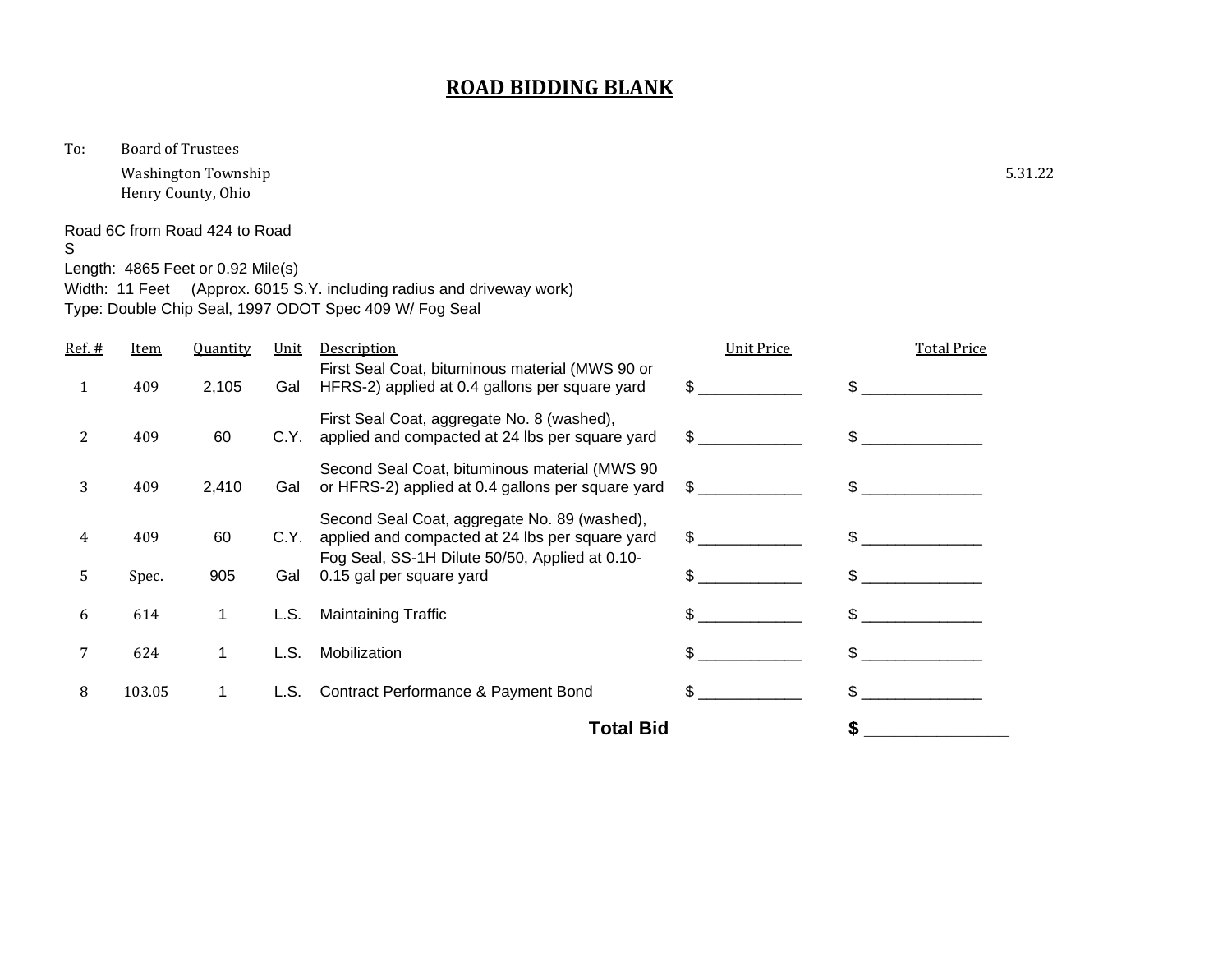To: Board of Trustees

Washington Township 5.31.22 Henry County, Ohio

Road 6C from Road 424 to Road

S

Length: 4865 Feet or 0.92 Mile(s)

Width: 11 Feet (Approx. 6015 S.Y. including radius and driveway work) Type: Double Chip Seal, 1997 ODOT Spec 409 W/ Fog Seal

|        |        |                 |      | <b>Total Bid</b>                                                                                    |                   |                    |
|--------|--------|-----------------|------|-----------------------------------------------------------------------------------------------------|-------------------|--------------------|
| 8      | 103.05 | 1               | L.S. | Contract Performance & Payment Bond                                                                 | \$.               | \$.                |
| 7      | 624    |                 | L.S. | Mobilization                                                                                        |                   |                    |
| 6      | 614    |                 | L.S. | <b>Maintaining Traffic</b>                                                                          |                   |                    |
| 5.     | Spec.  | 905             | Gal  | Fog Seal, SS-1H Dilute 50/50, Applied at 0.10-<br>0.15 gal per square yard                          | \$.               | \$.                |
| 4      | 409    | 60              | C.Y. | Second Seal Coat, aggregate No. 89 (washed),<br>applied and compacted at 24 lbs per square yard     | \$                | \$.                |
| 3      | 409    | 2,410           | Gal  | Second Seal Coat, bituminous material (MWS 90)<br>or HFRS-2) applied at 0.4 gallons per square yard | \$                |                    |
| 2      | 409    | 60              | C.Y. | First Seal Coat, aggregate No. 8 (washed),<br>applied and compacted at 24 lbs per square yard       | \$                | \$                 |
| 1      | 409    | 2,105           | Gal  | First Seal Coat, bituminous material (MWS 90 or<br>HFRS-2) applied at 0.4 gallons per square yard   |                   |                    |
| Ref. # | Item   | <b>Quantity</b> | Unit | Description                                                                                         | <b>Unit Price</b> | <b>Total Price</b> |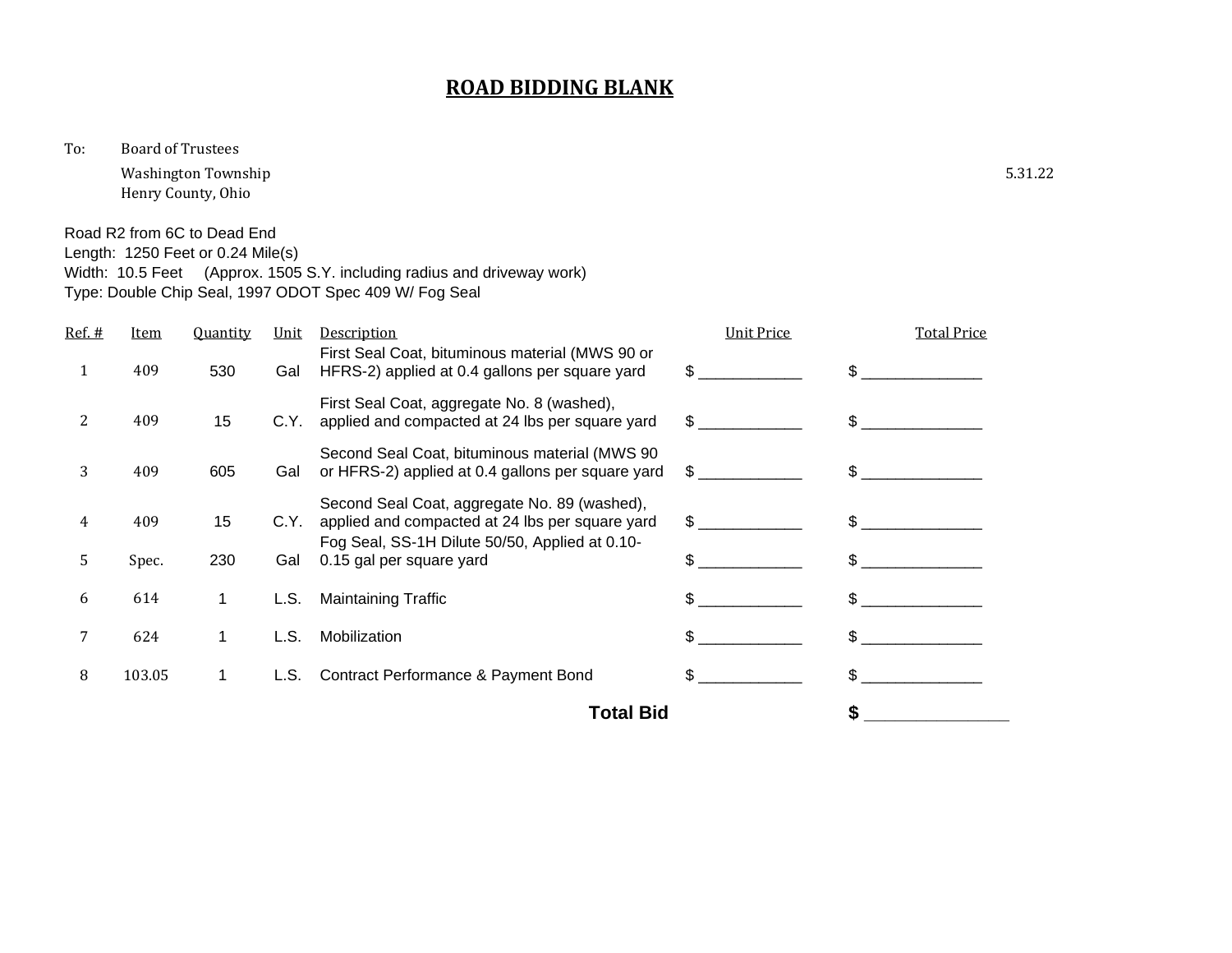To: Board of Trustees

Washington Township 5.31.22 Henry County, Ohio

Width: 10.5 Feet (Approx. 1505 S.Y. including radius and driveway work)

Road R2 from 6C to Dead End Length: 1250 Feet or 0.24 Mile(s)

|           |             |                 |      | Type: Double Chip Seal, 1997 ODOT Spec 409 W/ Fog Seal                                                                                            |                   |                    |
|-----------|-------------|-----------------|------|---------------------------------------------------------------------------------------------------------------------------------------------------|-------------------|--------------------|
| $Ref. \#$ | <u>Item</u> | <b>Quantity</b> | Unit | Description                                                                                                                                       | <b>Unit Price</b> | <b>Total Price</b> |
| 1         | 409         | 530             | Gal  | First Seal Coat, bituminous material (MWS 90 or<br>HFRS-2) applied at 0.4 gallons per square yard                                                 | \$                | \$.                |
| 2         | 409         | 15              | C.Y. | First Seal Coat, aggregate No. 8 (washed),<br>applied and compacted at 24 lbs per square yard                                                     | $\mathbb{S}^-$    | $\mathcal{L}$      |
| 3         | 409         | 605             | Gal  | Second Seal Coat, bituminous material (MWS 90<br>or HFRS-2) applied at 0.4 gallons per square yard                                                | $\mathbb{S}$      | \$.                |
| 4         | 409         | 15              | C.Y. | Second Seal Coat, aggregate No. 89 (washed),<br>applied and compacted at 24 lbs per square yard<br>Fog Seal, SS-1H Dilute 50/50, Applied at 0.10- | $\mathbb{S}$      | $\mathcal{L}$      |
| 5.        | Spec.       | 230             | Gal  | 0.15 gal per square yard                                                                                                                          |                   |                    |
| 6         | 614         | 1               | L.S. | <b>Maintaining Traffic</b>                                                                                                                        |                   |                    |
| 7         | 624         | 1               | L.S. | Mobilization                                                                                                                                      | \$                | \$.                |
| 8         | 103.05      | 1               | L.S. | Contract Performance & Payment Bond                                                                                                               |                   |                    |
|           |             |                 |      | Total Bid                                                                                                                                         |                   |                    |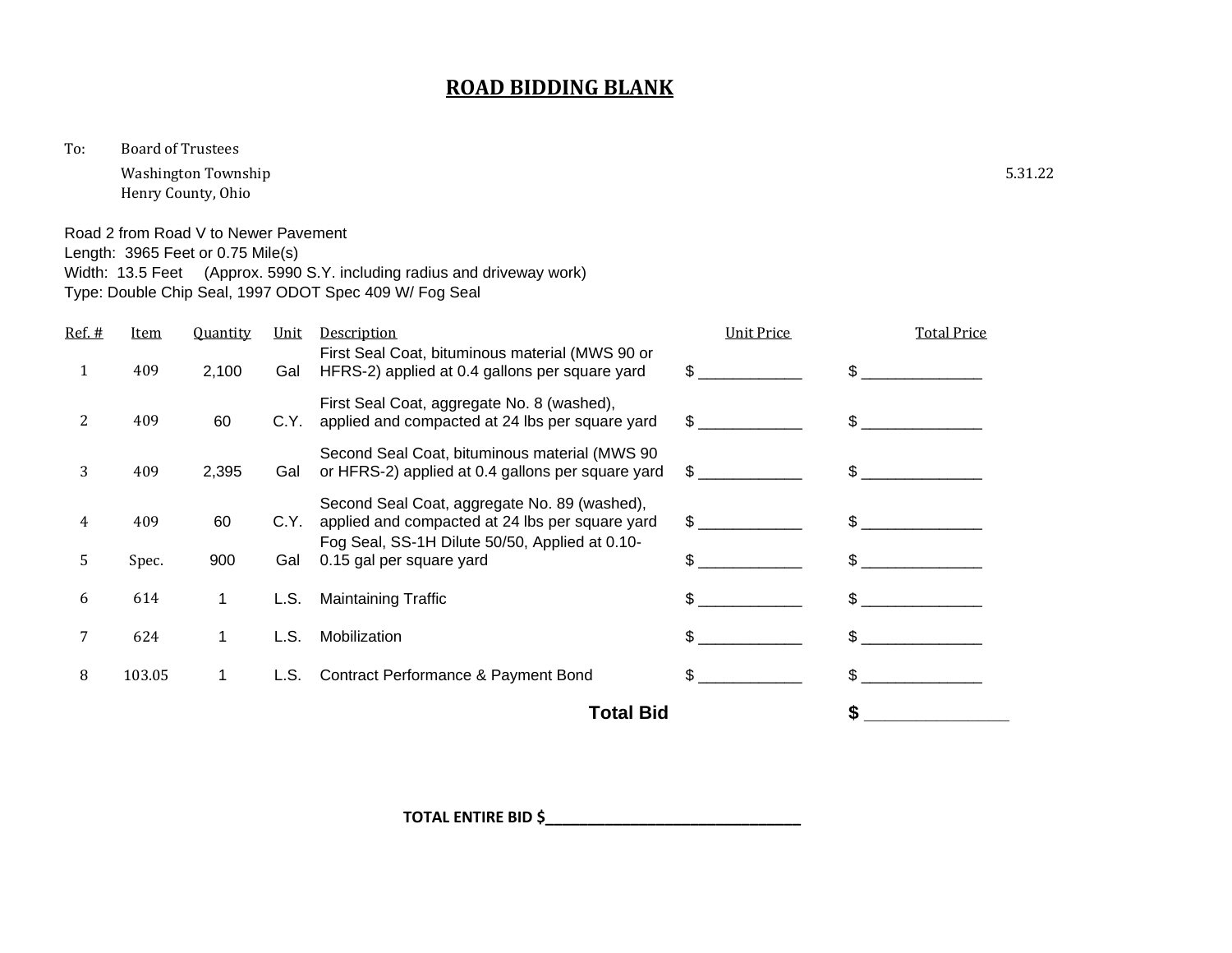To: Board of Trustees

Washington Township 5.31.22 Henry County, Ohio

Road 2 from Road V to Newer Pavement

Width: 13.5 Feet (Approx. 5990 S.Y. including radius and driveway work)

Length: 3965 Feet or 0.75 Mile(s)

|        |             |                 |      | Total Bid                                                                                                                                         |                   | \$                 |
|--------|-------------|-----------------|------|---------------------------------------------------------------------------------------------------------------------------------------------------|-------------------|--------------------|
| 8      | 103.05      | 1               | L.S. | Contract Performance & Payment Bond                                                                                                               | \$                | \$                 |
| 7      | 624         |                 | L.S. | Mobilization                                                                                                                                      | \$.               |                    |
| 6      | 614         | 1               | L.S. | <b>Maintaining Traffic</b>                                                                                                                        | \$                | \$.                |
| 5      | Spec.       | 900             | Gal  | 0.15 gal per square yard                                                                                                                          | \$.               | \$.                |
| 4      | 409         | 60              | C.Y. | Second Seal Coat, aggregate No. 89 (washed),<br>applied and compacted at 24 lbs per square yard<br>Fog Seal, SS-1H Dilute 50/50, Applied at 0.10- | $\frac{1}{2}$     | \$.                |
| 3      | 409         | 2,395           | Gal  | Second Seal Coat, bituminous material (MWS 90)<br>or HFRS-2) applied at 0.4 gallons per square yard                                               | $\mathbb{S}$      | \$.                |
| 2      | 409         | 60              | C.Y. | First Seal Coat, aggregate No. 8 (washed),<br>applied and compacted at 24 lbs per square yard                                                     | \$                | \$.                |
| 1      | 409         | 2,100           | Gal  | First Seal Coat, bituminous material (MWS 90 or<br>HFRS-2) applied at 0.4 gallons per square yard                                                 | \$                | \$                 |
| Ref. # | <u>Item</u> | <b>Quantity</b> | Unit | Description                                                                                                                                       | <b>Unit Price</b> | <b>Total Price</b> |
|        |             |                 |      | Type: Double Chip Seal, 1997 ODOT Spec 409 W/ Fog Seal                                                                                            |                   |                    |

**TOTAL ENTIRE BID \$\_\_\_\_\_\_\_\_\_\_\_\_\_\_\_\_\_\_\_\_\_\_\_\_\_\_\_\_\_\_**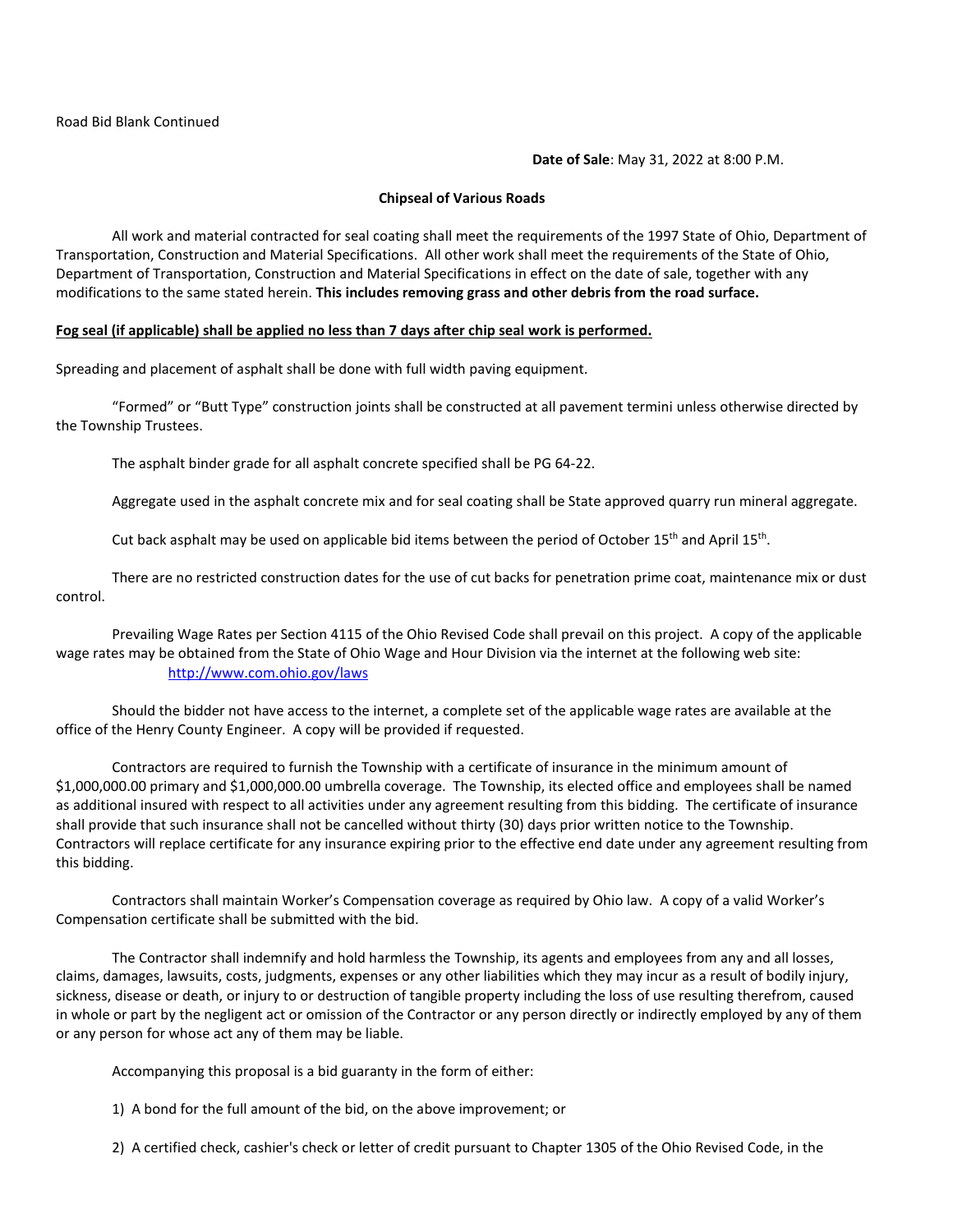**Date of Sale**: May 31, 2022 at 8:00 P.M.

#### **Chipseal of Various Roads**

All work and material contracted for seal coating shall meet the requirements of the 1997 State of Ohio, Department of Transportation, Construction and Material Specifications. All other work shall meet the requirements of the State of Ohio, Department of Transportation, Construction and Material Specifications in effect on the date of sale, together with any modifications to the same stated herein. **This includes removing grass and other debris from the road surface.**

#### **Fog seal (if applicable) shall be applied no less than 7 days after chip seal work is performed.**

Spreading and placement of asphalt shall be done with full width paving equipment.

"Formed" or "Butt Type" construction joints shall be constructed at all pavement termini unless otherwise directed by the Township Trustees.

The asphalt binder grade for all asphalt concrete specified shall be PG 64-22.

Aggregate used in the asphalt concrete mix and for seal coating shall be State approved quarry run mineral aggregate.

Cut back asphalt may be used on applicable bid items between the period of October 15<sup>th</sup> and April 15<sup>th</sup>.

There are no restricted construction dates for the use of cut backs for penetration prime coat, maintenance mix or dust control.

Prevailing Wage Rates per Section 4115 of the Ohio Revised Code shall prevail on this project. A copy of the applicable wage rates may be obtained from the State of Ohio Wage and Hour Division via the internet at the following web site: <http://www.com.ohio.gov/laws>

Should the bidder not have access to the internet, a complete set of the applicable wage rates are available at the office of the Henry County Engineer. A copy will be provided if requested.

Contractors are required to furnish the Township with a certificate of insurance in the minimum amount of \$1,000,000.00 primary and \$1,000,000.00 umbrella coverage. The Township, its elected office and employees shall be named as additional insured with respect to all activities under any agreement resulting from this bidding. The certificate of insurance shall provide that such insurance shall not be cancelled without thirty (30) days prior written notice to the Township. Contractors will replace certificate for any insurance expiring prior to the effective end date under any agreement resulting from this bidding.

Contractors shall maintain Worker's Compensation coverage as required by Ohio law. A copy of a valid Worker's Compensation certificate shall be submitted with the bid.

The Contractor shall indemnify and hold harmless the Township, its agents and employees from any and all losses, claims, damages, lawsuits, costs, judgments, expenses or any other liabilities which they may incur as a result of bodily injury, sickness, disease or death, or injury to or destruction of tangible property including the loss of use resulting therefrom, caused in whole or part by the negligent act or omission of the Contractor or any person directly or indirectly employed by any of them or any person for whose act any of them may be liable.

Accompanying this proposal is a bid guaranty in the form of either:

1) A bond for the full amount of the bid, on the above improvement; or

2) A certified check, cashier's check or letter of credit pursuant to Chapter 1305 of the Ohio Revised Code, in the